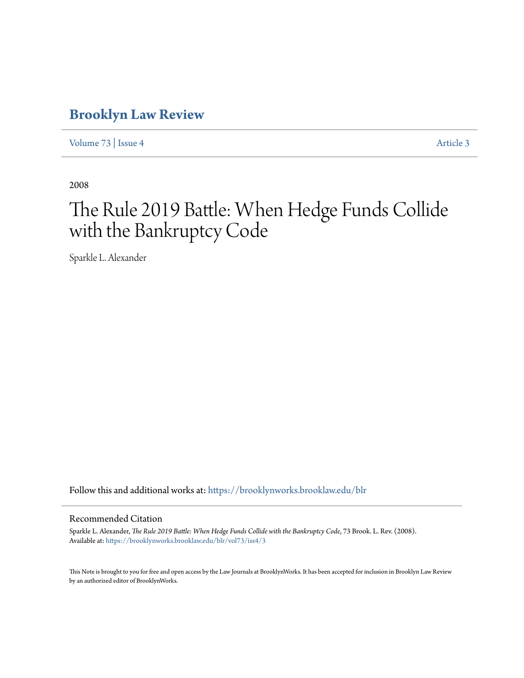# **[Brooklyn Law Review](https://brooklynworks.brooklaw.edu/blr?utm_source=brooklynworks.brooklaw.edu%2Fblr%2Fvol73%2Fiss4%2F3&utm_medium=PDF&utm_campaign=PDFCoverPages)**

[Volume 73](https://brooklynworks.brooklaw.edu/blr/vol73?utm_source=brooklynworks.brooklaw.edu%2Fblr%2Fvol73%2Fiss4%2F3&utm_medium=PDF&utm_campaign=PDFCoverPages) | [Issue 4](https://brooklynworks.brooklaw.edu/blr/vol73/iss4?utm_source=brooklynworks.brooklaw.edu%2Fblr%2Fvol73%2Fiss4%2F3&utm_medium=PDF&utm_campaign=PDFCoverPages) [Article 3](https://brooklynworks.brooklaw.edu/blr/vol73/iss4/3?utm_source=brooklynworks.brooklaw.edu%2Fblr%2Fvol73%2Fiss4%2F3&utm_medium=PDF&utm_campaign=PDFCoverPages)

2008

# The Rule 2019 Battle: When Hedge Funds Collide with the Bankruptcy Code

Sparkle L. Alexander

Follow this and additional works at: [https://brooklynworks.brooklaw.edu/blr](https://brooklynworks.brooklaw.edu/blr?utm_source=brooklynworks.brooklaw.edu%2Fblr%2Fvol73%2Fiss4%2F3&utm_medium=PDF&utm_campaign=PDFCoverPages)

#### Recommended Citation

Sparkle L. Alexander, *The Rule 2019 Battle: When Hedge Funds Collide with the Bankruptcy Code*, 73 Brook. L. Rev. (2008). Available at: [https://brooklynworks.brooklaw.edu/blr/vol73/iss4/3](https://brooklynworks.brooklaw.edu/blr/vol73/iss4/3?utm_source=brooklynworks.brooklaw.edu%2Fblr%2Fvol73%2Fiss4%2F3&utm_medium=PDF&utm_campaign=PDFCoverPages)

This Note is brought to you for free and open access by the Law Journals at BrooklynWorks. It has been accepted for inclusion in Brooklyn Law Review by an authorized editor of BrooklynWorks.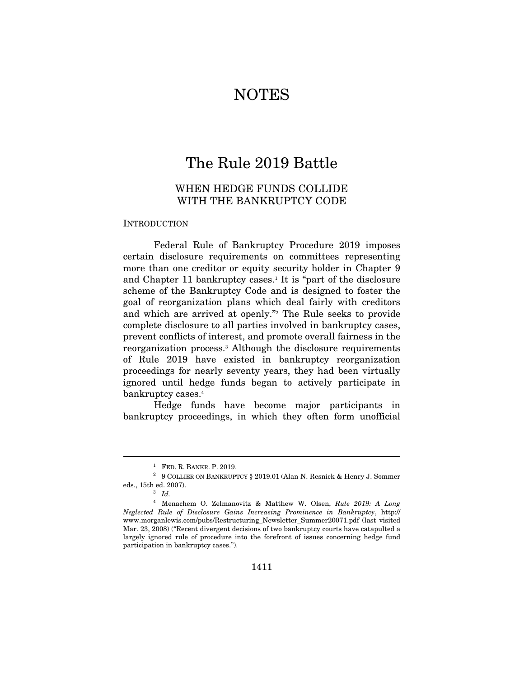# **NOTES**

# The Rule 2019 Battle

# WHEN HEDGE FUNDS COLLIDE WITH THE BANKRUPTCY CODE

#### INTRODUCTION

Federal Rule of Bankruptcy Procedure 2019 imposes certain disclosure requirements on committees representing more than one creditor or equity security holder in Chapter 9 and Chapter 11 bankruptcy cases.<sup>1</sup> It is "part of the disclosure" scheme of the Bankruptcy Code and is designed to foster the goal of reorganization plans which deal fairly with creditors and which are arrived at openly."2 The Rule seeks to provide complete disclosure to all parties involved in bankruptcy cases, prevent conflicts of interest, and promote overall fairness in the reorganization process.3 Although the disclosure requirements of Rule 2019 have existed in bankruptcy reorganization proceedings for nearly seventy years, they had been virtually ignored until hedge funds began to actively participate in bankruptcy cases.4

Hedge funds have become major participants in bankruptcy proceedings, in which they often form unofficial

 $^1$   $\,$  FED. R. BANKR. P. 2019. 2019. 2019. 2019. 2019. 2019. 2019. 2019. 2019. 2019. 2019. 2019. 2019. 2019. 2019. 2019. 2019. 2019. 2019. 2019. 2019. 2019. 2019. 2019. 2019. 2019. 2019. 2019. 2019. 2019. 2019. 2019. 2 eds., 15th ed. 2007).  $\frac{3}{1}$ 

<sup>4</sup> Menachem O. Zelmanovitz & Matthew W. Olsen, Rule 2019: A Long Neglected Rule of Disclosure Gains Increasing Prominence in Bankruptcy, http:// www.morganlewis.com/pubs/Restructuring\_Newsletter\_Summer20071.pdf (last visited Mar. 23, 2008) ("Recent divergent decisions of two bankruptcy courts have catapulted a largely ignored rule of procedure into the forefront of issues concerning hedge fund participation in bankruptcy cases.").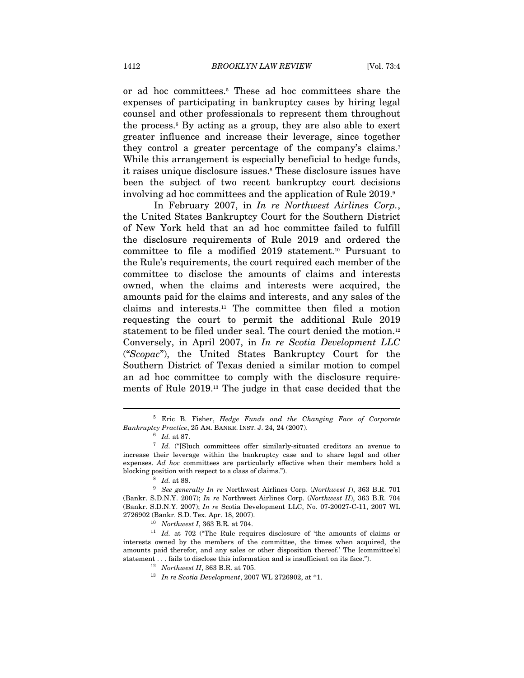or ad hoc committees.5 These ad hoc committees share the expenses of participating in bankruptcy cases by hiring legal counsel and other professionals to represent them throughout the process.6 By acting as a group, they are also able to exert greater influence and increase their leverage, since together they control a greater percentage of the company's claims.7 While this arrangement is especially beneficial to hedge funds, it raises unique disclosure issues.8 These disclosure issues have been the subject of two recent bankruptcy court decisions involving ad hoc committees and the application of Rule 2019.

In February 2007, in In re Northwest Airlines Corp., the United States Bankruptcy Court for the Southern District of New York held that an ad hoc committee failed to fulfill the disclosure requirements of Rule 2019 and ordered the committee to file a modified 2019 statement.10 Pursuant to the Rule's requirements, the court required each member of the committee to disclose the amounts of claims and interests owned, when the claims and interests were acquired, the amounts paid for the claims and interests, and any sales of the claims and interests.11 The committee then filed a motion requesting the court to permit the additional Rule 2019 statement to be filed under seal. The court denied the motion.<sup>12</sup> Conversely, in April 2007, in In re Scotia Development LLC ("Scopac"), the United States Bankruptcy Court for the Southern District of Texas denied a similar motion to compel an ad hoc committee to comply with the disclosure requirements of Rule 2019.13 The judge in that case decided that the

 $\overline{a}$ 

interests owned by the members of the committee, the times when acquired, the amounts paid therefor, and any sales or other disposition thereof.' The [committee's] statement . . . fails to disclose this information and is insufficient on its face.").<br><sup>12</sup> Northwest II, 363 B.R. at 705.<br><sup>13</sup> In re Scotia Development, 2007 WL 2726902, at \*1.

<sup>5</sup> Eric B. Fisher, Hedge Funds and the Changing Face of Corporate Bankruptcy Practice, 25 AM. BANKR. INST. J. 24, 24 (2007). 6 Id. at 87.

 $7$  Id. ("[S]uch committees offer similarly-situated creditors an avenue to increase their leverage within the bankruptcy case and to share legal and other expenses. Ad hoc committees are particularly effective when their members hold a blocking position with respect to a class of claims."). <br><sup>8</sup> Id. at 88. <br><sup>9</sup> See generally In re Northwest Airlines Corp. (Northwest I), 363 B.R. 701

<sup>(</sup>Bankr. S.D.N.Y. 2007); In re Northwest Airlines Corp. (Northwest II), 363 B.R. 704 (Bankr. S.D.N.Y. 2007); In re Scotia Development LLC, No. 07-20027-C-11, 2007 WL 2726902 (Bankr. S.D. Tex. Apr. 18, 2007).<br><sup>10</sup> Northwest I, 363 B.R. at 704.<br><sup>11</sup> Id. at 702 ("The Rule requires disclosure of 'the amounts of claims or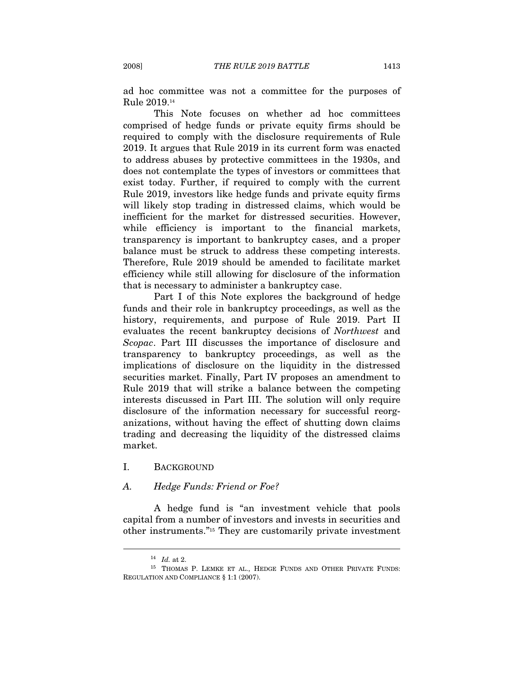ad hoc committee was not a committee for the purposes of Rule 2019.14

This Note focuses on whether ad hoc committees comprised of hedge funds or private equity firms should be required to comply with the disclosure requirements of Rule 2019. It argues that Rule 2019 in its current form was enacted to address abuses by protective committees in the 1930s, and does not contemplate the types of investors or committees that exist today. Further, if required to comply with the current Rule 2019, investors like hedge funds and private equity firms will likely stop trading in distressed claims, which would be inefficient for the market for distressed securities. However, while efficiency is important to the financial markets, transparency is important to bankruptcy cases, and a proper balance must be struck to address these competing interests. Therefore, Rule 2019 should be amended to facilitate market efficiency while still allowing for disclosure of the information that is necessary to administer a bankruptcy case.

Part I of this Note explores the background of hedge funds and their role in bankruptcy proceedings, as well as the history, requirements, and purpose of Rule 2019. Part II evaluates the recent bankruptcy decisions of Northwest and Scopac. Part III discusses the importance of disclosure and transparency to bankruptcy proceedings, as well as the implications of disclosure on the liquidity in the distressed securities market. Finally, Part IV proposes an amendment to Rule 2019 that will strike a balance between the competing interests discussed in Part III. The solution will only require disclosure of the information necessary for successful reorganizations, without having the effect of shutting down claims trading and decreasing the liquidity of the distressed claims market.

### I. BACKGROUND

#### A. Hedge Funds: Friend or Foe?

A hedge fund is "an investment vehicle that pools capital from a number of investors and invests in securities and other instruments."15 They are customarily private investment

 $^{14}$   $\,$   $Id.$  at 2.  $^{15}$   $\,$  THOMAS P. LEMKE ET AL., HEDGE FUNDS AND OTHER PRIVATE FUNDS: REGULATION AND COMPLIANCE § 1:1 (2007).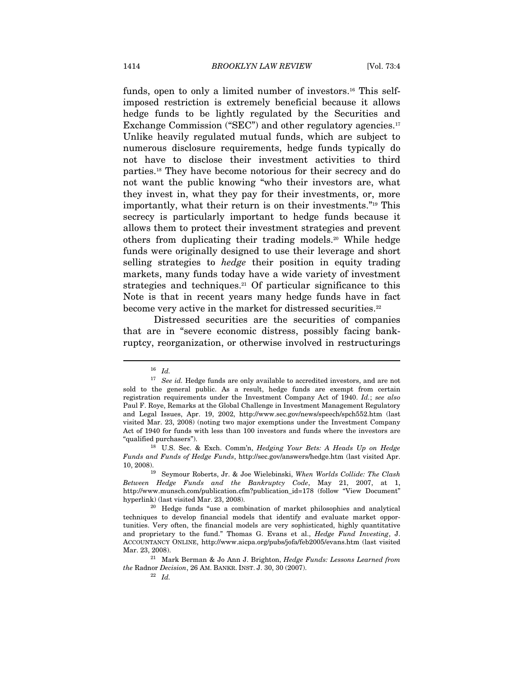funds, open to only a limited number of investors.<sup>16</sup> This selfimposed restriction is extremely beneficial because it allows hedge funds to be lightly regulated by the Securities and Exchange Commission ("SEC") and other regulatory agencies.<sup>17</sup> Unlike heavily regulated mutual funds, which are subject to numerous disclosure requirements, hedge funds typically do not have to disclose their investment activities to third parties.18 They have become notorious for their secrecy and do not want the public knowing "who their investors are, what they invest in, what they pay for their investments, or, more importantly, what their return is on their investments."19 This secrecy is particularly important to hedge funds because it allows them to protect their investment strategies and prevent others from duplicating their trading models.20 While hedge funds were originally designed to use their leverage and short selling strategies to hedge their position in equity trading markets, many funds today have a wide variety of investment strategies and techniques.<sup>21</sup> Of particular significance to this Note is that in recent years many hedge funds have in fact become very active in the market for distressed securities.<sup>22</sup>

Distressed securities are the securities of companies that are in "severe economic distress, possibly facing bankruptcy, reorganization, or otherwise involved in restructurings

<sup>16</sup> Id.

 $17$  See id. Hedge funds are only available to accredited investors, and are not sold to the general public. As a result, hedge funds are exempt from certain registration requirements under the Investment Company Act of 1940. Id.; see also Paul F. Roye, Remarks at the Global Challenge in Investment Management Regulatory and Legal Issues, Apr. 19, 2002, http://www.sec.gov/news/speech/spch552.htm (last visited Mar. 23, 2008) (noting two major exemptions under the Investment Company Act of 1940 for funds with less than 100 investors and funds where the investors are "qualified purchasers").<br><sup>18</sup> U.S. Sec. & Exch. Comm'n, *Hedging Your Bets: A Heads Up on Hedge* 

Funds and Funds of Hedge Funds, http://sec.gov/answers/hedge.htm (last visited Apr.

<sup>10, 2008). 19</sup> Seymour Roberts, Jr. & Joe Wielebinski, When Worlds Collide: The Clash Between Hedge Funds and the Bankruptcy Code, May 21, 2007, at 1, http://www.munsch.com/publication.cfm?publication\_id=178 (follow "View Document" hyperlink) (last visited Mar. 23, 2008). <sup>20</sup> Hedge funds "use a combination of market philosophies and analytical

techniques to develop financial models that identify and evaluate market opportunities. Very often, the financial models are very sophisticated, highly quantitative and proprietary to the fund." Thomas G. Evans et al., Hedge Fund Investing, J. ACCOUNTANCY ONLINE, http://www.aicpa.org/pubs/jofa/feb2005/evans.htm (last visited Mar. 23, 2008). 21 Mark Berman & Jo Ann J. Brighton, *Hedge Funds: Lessons Learned from* 

the Radnor Decision, 26 AM. BANKR. INST. J. 30, 30 (2007).  $\frac{22}{Id}$ .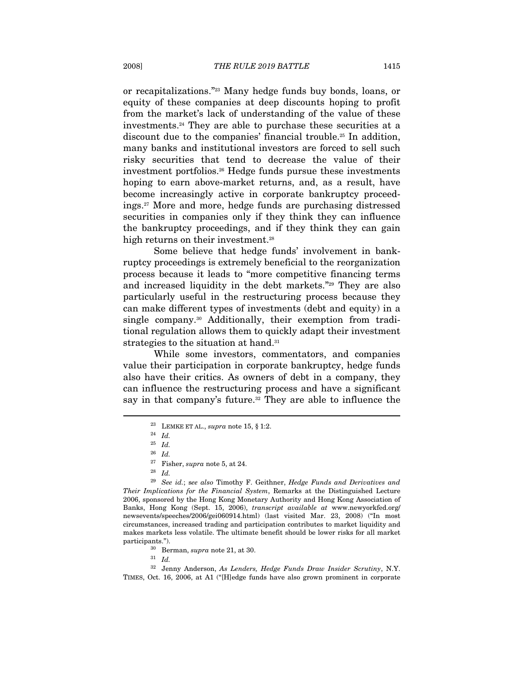or recapitalizations."23 Many hedge funds buy bonds, loans, or equity of these companies at deep discounts hoping to profit from the market's lack of understanding of the value of these investments.24 They are able to purchase these securities at a discount due to the companies' financial trouble.25 In addition, many banks and institutional investors are forced to sell such risky securities that tend to decrease the value of their investment portfolios.26 Hedge funds pursue these investments hoping to earn above-market returns, and, as a result, have become increasingly active in corporate bankruptcy proceedings.27 More and more, hedge funds are purchasing distressed securities in companies only if they think they can influence the bankruptcy proceedings, and if they think they can gain high returns on their investment.<sup>28</sup>

Some believe that hedge funds' involvement in bankruptcy proceedings is extremely beneficial to the reorganization process because it leads to "more competitive financing terms and increased liquidity in the debt markets."29 They are also particularly useful in the restructuring process because they can make different types of investments (debt and equity) in a single company.30 Additionally, their exemption from traditional regulation allows them to quickly adapt their investment strategies to the situation at hand.<sup>31</sup>

While some investors, commentators, and companies value their participation in corporate bankruptcy, hedge funds also have their critics. As owners of debt in a company, they can influence the restructuring process and have a significant say in that company's future.<sup>32</sup> They are able to influence the

 $\overline{a}$ 

 $29$  See id.; see also Timothy F. Geithner, Hedge Funds and Derivatives and Their Implications for the Financial System, Remarks at the Distinguished Lecture 2006, sponsored by the Hong Kong Monetary Authority and Hong Kong Association of Banks, Hong Kong (Sept. 15, 2006), transcript available at www.newyorkfed.org/ newsevents/speeches/2006/gei060914.html) (last visited Mar. 23, 2008) ("In most circumstances, increased trading and participation contributes to market liquidity and makes markets less volatile. The ultimate benefit should be lower risks for all market participants.").  $\frac{30}{31}$  Berman, *supra* note 21, at 30.  $\frac{31}{1}$  *Id.* 

32 Jenny Anderson, As Lenders, Hedge Funds Draw Insider Scrutiny, N.Y. TIMES, Oct. 16, 2006, at A1 ("[H]edge funds have also grown prominent in corporate

 $^{23}$  LEMKE ET AL.,  $supra$  note 15,  $\S$  1:2.  $^{24}$   $\,$   $Id.$ 

 $^{25} \;$  Id.

 $^{26}\,$   $Id.$ 

<sup>&</sup>lt;sup>27</sup> Fisher, *supra* note 5, at 24.<br><sup>28</sup> Id.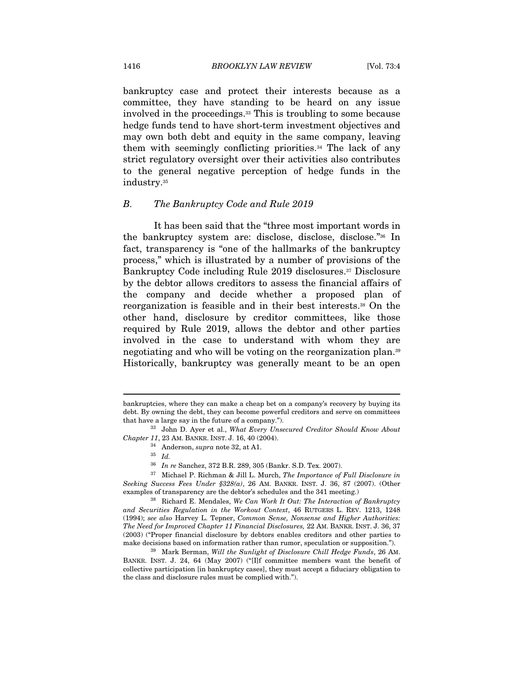bankruptcy case and protect their interests because as a committee, they have standing to be heard on any issue involved in the proceedings.33 This is troubling to some because hedge funds tend to have short-term investment objectives and may own both debt and equity in the same company, leaving them with seemingly conflicting priorities.34 The lack of any strict regulatory oversight over their activities also contributes to the general negative perception of hedge funds in the industry.35

#### B. The Bankruptcy Code and Rule 2019

It has been said that the "three most important words in the bankruptcy system are: disclose, disclose, disclose."36 In fact, transparency is "one of the hallmarks of the bankruptcy process," which is illustrated by a number of provisions of the Bankruptcy Code including Rule 2019 disclosures.<sup>37</sup> Disclosure by the debtor allows creditors to assess the financial affairs of the company and decide whether a proposed plan of reorganization is feasible and in their best interests.38 On the other hand, disclosure by creditor committees, like those required by Rule 2019, allows the debtor and other parties involved in the case to understand with whom they are negotiating and who will be voting on the reorganization plan.39 Historically, bankruptcy was generally meant to be an open

bankruptcies, where they can make a cheap bet on a company's recovery by buying its debt. By owning the debt, they can become powerful creditors and serve on committees that have a large say in the future of a company.").<br><sup>33</sup> John D. Ayer et al., What Every Unsecured Creditor Should Know About

 $\begin{array}{c} {\it Chapter~11, 23~\rm AM.~BANKR.~INST.~J.~16, 40~(2004).} \\ \vspace{0.4cm} ^{34} \hskip 0.4cm {\rm Anderson,}~supra~note~32, at~A1. \\ \vspace{0.4cm} ^{35} \hskip 0.4cm {\it Id.} \end{array}$ 

<sup>36</sup> In re Sanchez, 372 B.R. 289, 305 (Bankr. S.D. Tex. 2007).

 $37$  Michael P. Richman & Jill L. Murch, The Importance of Full Disclosure in Seeking Success Fees Under §328(a), 26 AM. BANKR. INST. J. 36, 87 (2007). (Other examples of transparency are the debtor's schedules and the 341 meeting.)<br><sup>38</sup> Richard E. Mendales, We Can Work It Out: The Interaction of Bankruptcy

and Securities Regulation in the Workout Context, 46 RUTGERS L. REV. 1213, 1248 (1994); see also Harvey L. Tepner, Common Sense, Nonsense and Higher Authorities: The Need for Improved Chapter 11 Financial Disclosures, 22 AM. BANKR. INST. J. 36, 37 (2003) ("Proper financial disclosure by debtors enables creditors and other parties to make decisions based on information rather than rumor, speculation or supposition.").

 $39$  Mark Berman, Will the Sunlight of Disclosure Chill Hedge Funds, 26 AM. BANKR. INST. J. 24, 64 (May 2007) ("[I]f committee members want the benefit of collective participation [in bankruptcy cases], they must accept a fiduciary obligation to the class and disclosure rules must be complied with.").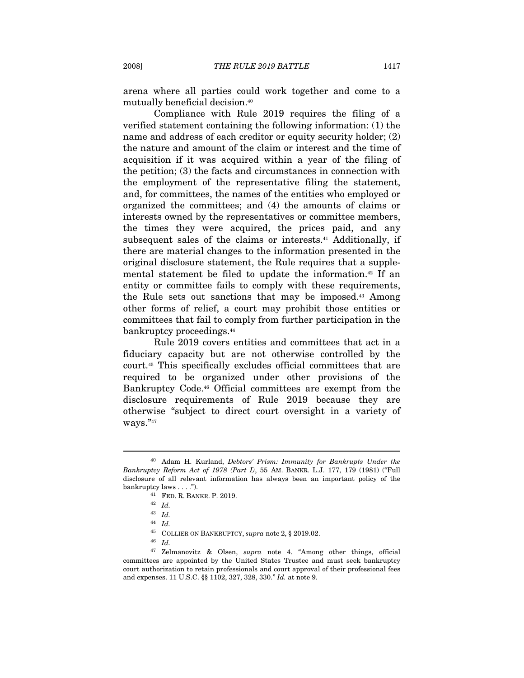arena where all parties could work together and come to a mutually beneficial decision.40

Compliance with Rule 2019 requires the filing of a verified statement containing the following information: (1) the name and address of each creditor or equity security holder; (2) the nature and amount of the claim or interest and the time of acquisition if it was acquired within a year of the filing of the petition; (3) the facts and circumstances in connection with the employment of the representative filing the statement, and, for committees, the names of the entities who employed or organized the committees; and (4) the amounts of claims or interests owned by the representatives or committee members, the times they were acquired, the prices paid, and any subsequent sales of the claims or interests.<sup>41</sup> Additionally, if there are material changes to the information presented in the original disclosure statement, the Rule requires that a supplemental statement be filed to update the information.42 If an entity or committee fails to comply with these requirements, the Rule sets out sanctions that may be imposed.43 Among other forms of relief, a court may prohibit those entities or committees that fail to comply from further participation in the bankruptcy proceedings.44

Rule 2019 covers entities and committees that act in a fiduciary capacity but are not otherwise controlled by the court.45 This specifically excludes official committees that are required to be organized under other provisions of the Bankruptcy Code.46 Official committees are exempt from the disclosure requirements of Rule 2019 because they are otherwise "subject to direct court oversight in a variety of ways."47

<sup>&</sup>lt;sup>40</sup> Adam H. Kurland, *Debtors' Prism: Immunity for Bankrupts Under the* Bankruptcy Reform Act of 1978 (Part I), 55 AM. BANKR. L.J. 177, 179 (1981) ("Full disclosure of all relevant information has always been an important policy of the bankruptcy laws . . . .").<br>
<sup>41</sup> FED. R. BANKR. P. 2019.<br>
<sup>42</sup> Id.

<sup>43</sup> Id.

<sup>44</sup> Id.

 $^{45}$  COLLIER ON BANKRUPTCY,  $supra$  note 2,  $\S$  2019.02.  $^{46}$   $~Id$ 

<sup>47</sup> Zelmanovitz & Olsen, supra note 4. "Among other things, official committees are appointed by the United States Trustee and must seek bankruptcy court authorization to retain professionals and court approval of their professional fees and expenses. 11 U.S.C. §§ 1102, 327, 328, 330." Id. at note 9.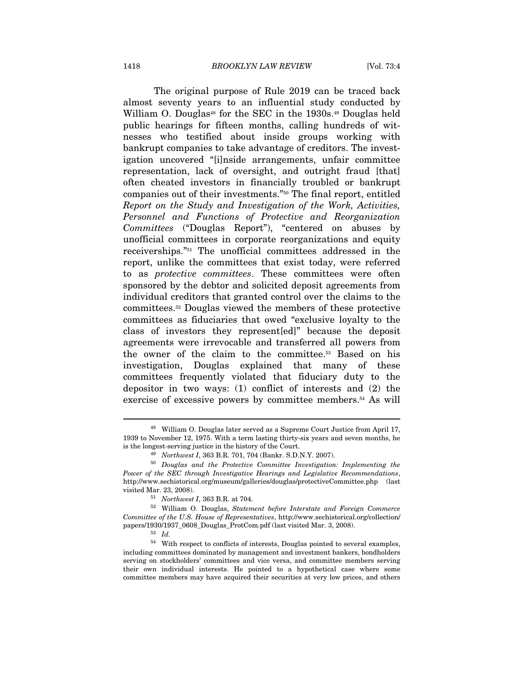The original purpose of Rule 2019 can be traced back almost seventy years to an influential study conducted by William O. Douglas<sup>48</sup> for the SEC in the  $1930s<sup>49</sup>$  Douglas held public hearings for fifteen months, calling hundreds of witnesses who testified about inside groups working with bankrupt companies to take advantage of creditors. The investigation uncovered "[i]nside arrangements, unfair committee representation, lack of oversight, and outright fraud [that] often cheated investors in financially troubled or bankrupt companies out of their investments."50 The final report, entitled Report on the Study and Investigation of the Work, Activities, Personnel and Functions of Protective and Reorganization Committees ("Douglas Report"), "centered on abuses by unofficial committees in corporate reorganizations and equity receiverships."51 The unofficial committees addressed in the report, unlike the committees that exist today, were referred to as protective committees. These committees were often sponsored by the debtor and solicited deposit agreements from individual creditors that granted control over the claims to the committees.52 Douglas viewed the members of these protective committees as fiduciaries that owed "exclusive loyalty to the class of investors they represent[ed]" because the deposit agreements were irrevocable and transferred all powers from the owner of the claim to the committee.53 Based on his investigation, Douglas explained that many of these committees frequently violated that fiduciary duty to the depositor in two ways: (1) conflict of interests and (2) the exercise of excessive powers by committee members.<sup>54</sup> As will

<sup>48</sup> William O. Douglas later served as a Supreme Court Justice from April 17, 1939 to November 12, 1975. With a term lasting thirty-six years and seven months, he is the longest-serving justice in the history of the Court.<br>
<sup>49</sup> Northwest I, 363 B.R. 701, 704 (Bankr. S.D.N.Y. 2007).<br>
<sup>50</sup> Douglas and the Protective Committee Investigation: Implementing the

Power of the SEC through Investigative Hearings and Legislative Recommendations, http://www.sechistorical.org/museum/galleries/douglas/protectiveCommittee.php (last visited Mar. 23, 2008). 51 Northwest I, 363 B.R. at 704. 52 William O. Douglas, Statement before Interstate and Foreign Commerce

Committee of the U.S. House of Representatives, http://www.sechistorical.org/collection/ papers/1930/1937\_0608\_Douglas\_ProtCom.pdf (last visited Mar. 3, 2008). 53 Id.

 $^{54}\;$  With respect to conflicts of interests, Douglas pointed to several examples, including committees dominated by management and investment bankers, bondholders serving on stockholders' committees and vice versa, and committee members serving their own individual interests. He pointed to a hypothetical case where some committee members may have acquired their securities at very low prices, and others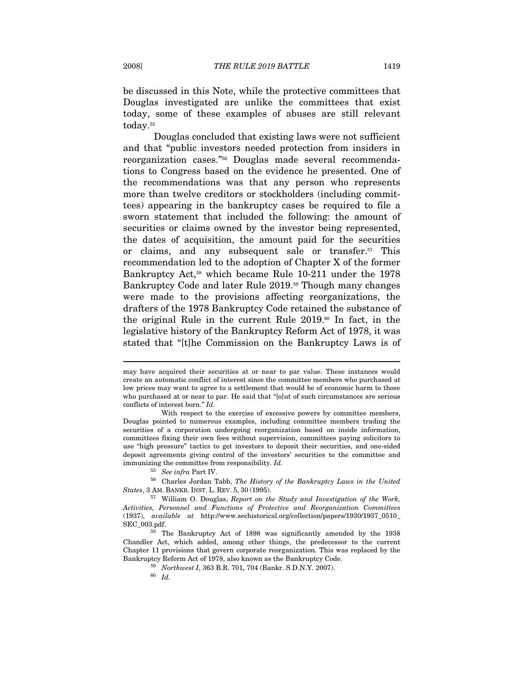be discussed in this Note, while the protective committees that Douglas investigated are unlike the committees that exist today, some of these examples of abuses are still relevant today.<sup>55</sup>

Douglas concluded that existing laws were not sufficient and that "public investors needed protection from insiders in reorganization cases."56 Douglas made several recommendations to Congress based on the evidence he presented. One of the recommendations was that any person who represents more than twelve creditors or stockholders (including committees) appearing in the bankruptcy cases be required to file a sworn statement that included the following: the amount of securities or claims owned by the investor being represented, the dates of acquisition, the amount paid for the securities or claims, and any subsequent sale or transfer.57 This recommendation led to the adoption of Chapter X of the former Bankruptcy Act,<sup>58</sup> which became Rule 10-211 under the 1978 Bankruptcy Code and later Rule 2019.<sup>59</sup> Though many changes were made to the provisions affecting reorganizations, the drafters of the 1978 Bankruptcy Code retained the substance of the original Rule in the current Rule 2019.60 In fact, in the legislative history of the Bankruptcy Reform Act of 1978, it was stated that "[t]he Commission on the Bankruptcy Laws is of

may have acquired their securities at or near to par value. These instances would create an automatic conflict of interest since the committee members who purchased at low prices may want to agree to a settlement that would be of economic harm to those who purchased at or near to par. He said that "[o]ut of such circumstances are serious conflicts of interest born." Id.

With respect to the exercise of excessive powers by committee members, Douglas pointed to numerous examples, including committee members trading the securities of a corporation undergoing reorganization based on inside information, committees fixing their own fees without supervision, committees paying solicitors to use "high pressure" tactics to get investors to deposit their securities, and one-sided deposit agreements giving control of the investors' securities to the committee and immunizing the committee from responsibility. Id.

<sup>55</sup> See infra Part IV.

<sup>56</sup> Charles Jordan Tabb, The History of the Bankruptcy Laws in the United States, 3 AM. BANKR. INST. L. REV. 5, <sup>30</sup> (1995). 57 William O. Douglas, Report on the Study and Investigation of the Work,

Activities, Personnel and Functions of Protective and Reorganization Committees (1937), available at http://www.sechistorical.org/collection/papers/1930/1937\_0510\_ SEC\_003.pdf. 58 The Bankruptcy Act of 1898 was significantly amended by the 1938

Chandler Act, which added, among other things, the predecessor to the current Chapter 11 provisions that govern corporate reorganization. This was replaced by the Bankruptcy Reform Act of 1978, also known as the Bankruptcy Code.<br>  $$^{59}$$  Northwest I, 363 B.R. 701, 704 (Bankr. S.D.N.Y. 2007). $$^{60}$$   $Id.$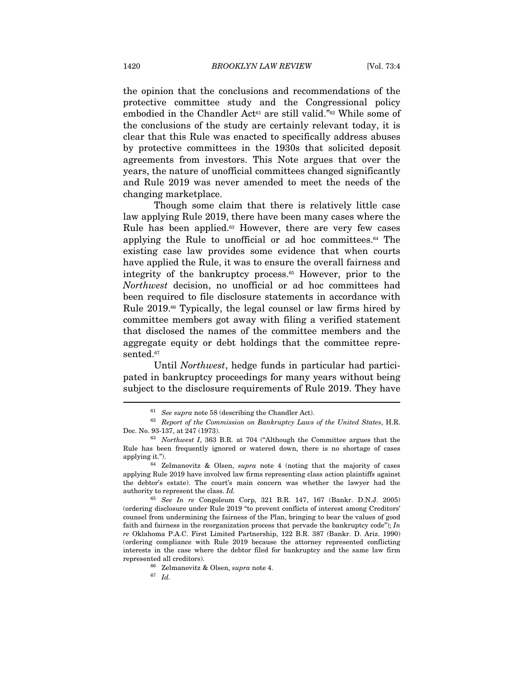the opinion that the conclusions and recommendations of the protective committee study and the Congressional policy embodied in the Chandler Act<sup>61</sup> are still valid."<sup>62</sup> While some of the conclusions of the study are certainly relevant today, it is clear that this Rule was enacted to specifically address abuses by protective committees in the 1930s that solicited deposit agreements from investors. This Note argues that over the years, the nature of unofficial committees changed significantly and Rule 2019 was never amended to meet the needs of the changing marketplace.

Though some claim that there is relatively little case law applying Rule 2019, there have been many cases where the Rule has been applied.<sup>63</sup> However, there are very few cases applying the Rule to unofficial or ad hoc committees.<sup>64</sup> The existing case law provides some evidence that when courts have applied the Rule, it was to ensure the overall fairness and integrity of the bankruptcy process.65 However, prior to the Northwest decision, no unofficial or ad hoc committees had been required to file disclosure statements in accordance with Rule 2019.<sup>66</sup> Typically, the legal counsel or law firms hired by committee members got away with filing a verified statement that disclosed the names of the committee members and the aggregate equity or debt holdings that the committee represented.<sup>67</sup>

Until Northwest, hedge funds in particular had participated in bankruptcy proceedings for many years without being subject to the disclosure requirements of Rule 2019. They have  $\overline{a}$ 

<sup>&</sup>lt;sup>61</sup> See supra note 58 (describing the Chandler Act).  $62$  Report of the Commission on Bankruptcy Laws of the United States, H.R. Doc. No. 93-137, at 247 (1973). 63 Northwest I, 363 B.R. at 704 ("Although the Committee argues that the

Rule has been frequently ignored or watered down, there is no shortage of cases applying it.").  $64$  Zelmanovitz & Olsen, *supra* note 4 (noting that the majority of cases

applying Rule 2019 have involved law firms representing class action plaintiffs against the debtor's estate). The court's main concern was whether the lawyer had the authority to represent the class. Id.<br><sup>65</sup> See In re Congoleum Corp, 321 B.R. 147, 167 (Bankr. D.N.J. 2005)

<sup>(</sup>ordering disclosure under Rule 2019 "to prevent conflicts of interest among Creditors' counsel from undermining the fairness of the Plan, bringing to bear the values of good faith and fairness in the reorganization process that pervade the bankruptcy code");  $In$ re Oklahoma P.A.C. First Limited Partnership, 122 B.R. 387 (Bankr. D. Ariz. 1990) (ordering compliance with Rule 2019 because the attorney represented conflicting interests in the case where the debtor filed for bankruptcy and the same law firm represented all creditors).

<sup>&</sup>lt;sup>66</sup> Zelmanovitz & Olsen, *supra* note 4.<br><sup>67</sup> Id.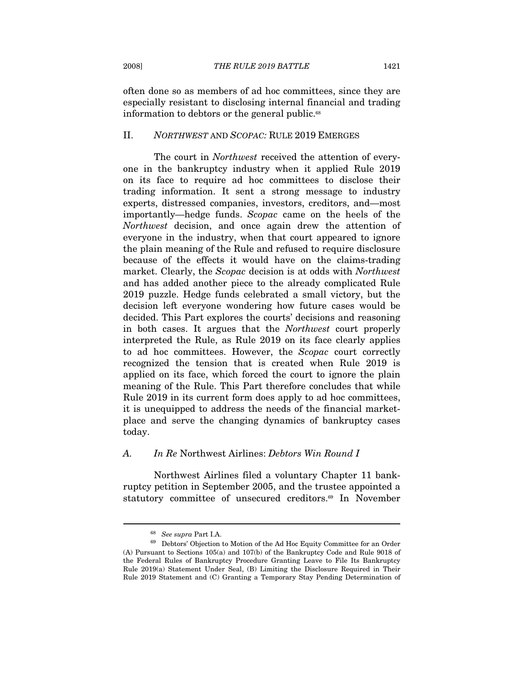often done so as members of ad hoc committees, since they are especially resistant to disclosing internal financial and trading information to debtors or the general public.<sup>68</sup>

#### II. NORTHWEST AND SCOPAC: RULE 2019 EMERGES

The court in Northwest received the attention of everyone in the bankruptcy industry when it applied Rule 2019 on its face to require ad hoc committees to disclose their trading information. It sent a strong message to industry experts, distressed companies, investors, creditors, and—most importantly—hedge funds. Scopac came on the heels of the Northwest decision, and once again drew the attention of everyone in the industry, when that court appeared to ignore the plain meaning of the Rule and refused to require disclosure because of the effects it would have on the claims-trading market. Clearly, the Scopac decision is at odds with Northwest and has added another piece to the already complicated Rule 2019 puzzle. Hedge funds celebrated a small victory, but the decision left everyone wondering how future cases would be decided. This Part explores the courts' decisions and reasoning in both cases. It argues that the Northwest court properly interpreted the Rule, as Rule 2019 on its face clearly applies to ad hoc committees. However, the Scopac court correctly recognized the tension that is created when Rule 2019 is applied on its face, which forced the court to ignore the plain meaning of the Rule. This Part therefore concludes that while Rule 2019 in its current form does apply to ad hoc committees, it is unequipped to address the needs of the financial marketplace and serve the changing dynamics of bankruptcy cases today.

#### A. In Re Northwest Airlines: Debtors Win Round I

Northwest Airlines filed a voluntary Chapter 11 bankruptcy petition in September 2005, and the trustee appointed a statutory committee of unsecured creditors.<sup>69</sup> In November

 $^{68}\,$  See supra Part I.A. 69 Debtors' Objection to Motion of the Ad Hoc Equity Committee for an Order (A) Pursuant to Sections 105(a) and 107(b) of the Bankruptcy Code and Rule 9018 of the Federal Rules of Bankruptcy Procedure Granting Leave to File Its Bankruptcy Rule 2019(a) Statement Under Seal, (B) Limiting the Disclosure Required in Their Rule 2019 Statement and (C) Granting a Temporary Stay Pending Determination of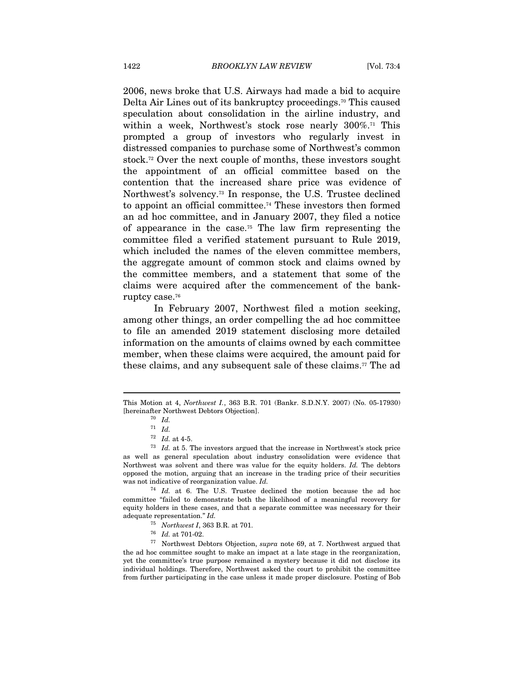2006, news broke that U.S. Airways had made a bid to acquire Delta Air Lines out of its bankruptcy proceedings.70 This caused speculation about consolidation in the airline industry, and within a week, Northwest's stock rose nearly 300%.<sup>71</sup> This prompted a group of investors who regularly invest in distressed companies to purchase some of Northwest's common stock.72 Over the next couple of months, these investors sought the appointment of an official committee based on the contention that the increased share price was evidence of Northwest's solvency.73 In response, the U.S. Trustee declined to appoint an official committee.74 These investors then formed an ad hoc committee, and in January 2007, they filed a notice of appearance in the case.75 The law firm representing the committee filed a verified statement pursuant to Rule 2019, which included the names of the eleven committee members, the aggregate amount of common stock and claims owned by the committee members, and a statement that some of the claims were acquired after the commencement of the bankruptcy case.76

In February 2007, Northwest filed a motion seeking, among other things, an order compelling the ad hoc committee to file an amended 2019 statement disclosing more detailed information on the amounts of claims owned by each committee member, when these claims were acquired, the amount paid for these claims, and any subsequent sale of these claims.77 The ad

This Motion at 4, Northwest I., 363 B.R. 701 (Bankr. S.D.N.Y. 2007) (No. 05-17930) [hereinafter Northwest Debtors Objection].  $70\;\;Id.$ 

 $\frac{71}{72}$  *Id.* at 4-5.

 $73$  Id. at 5. The investors argued that the increase in Northwest's stock price as well as general speculation about industry consolidation were evidence that Northwest was solvent and there was value for the equity holders. Id. The debtors opposed the motion, arguing that an increase in the trading price of their securities was not indicative of reorganization value. Id.

<sup>74</sup> Id. at 6. The U.S. Trustee declined the motion because the ad hoc committee "failed to demonstrate both the likelihood of a meaningful recovery for equity holders in these cases, and that a separate committee was necessary for their adequate representation." Id.

<sup>&</sup>lt;sup>75</sup> Northwest I, 363 B.R. at 701.<br><sup>76</sup> Id. at 701-02.<br><sup>77</sup> Northwest Debtors Objection, *supra* note 69, at 7. Northwest argued that the ad hoc committee sought to make an impact at a late stage in the reorganization, yet the committee's true purpose remained a mystery because it did not disclose its individual holdings. Therefore, Northwest asked the court to prohibit the committee from further participating in the case unless it made proper disclosure. Posting of Bob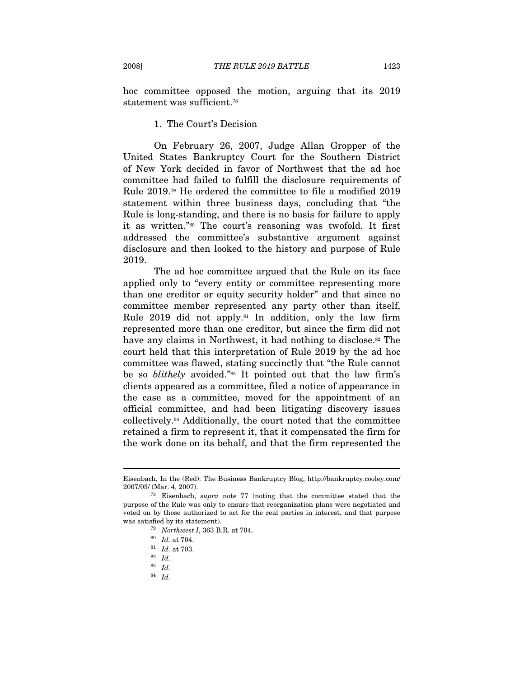hoc committee opposed the motion, arguing that its 2019 statement was sufficient.<sup>78</sup>

# 1. The Court's Decision

On February 26, 2007, Judge Allan Gropper of the United States Bankruptcy Court for the Southern District of New York decided in favor of Northwest that the ad hoc committee had failed to fulfill the disclosure requirements of Rule 2019.79 He ordered the committee to file a modified 2019 statement within three business days, concluding that "the Rule is long-standing, and there is no basis for failure to apply it as written."80 The court's reasoning was twofold. It first addressed the committee's substantive argument against disclosure and then looked to the history and purpose of Rule 2019.

The ad hoc committee argued that the Rule on its face applied only to "every entity or committee representing more than one creditor or equity security holder" and that since no committee member represented any party other than itself, Rule 2019 did not apply.<sup>81</sup> In addition, only the law firm represented more than one creditor, but since the firm did not have any claims in Northwest, it had nothing to disclose.<sup>82</sup> The court held that this interpretation of Rule 2019 by the ad hoc committee was flawed, stating succinctly that "the Rule cannot be so *blithely* avoided."<sup>83</sup> It pointed out that the law firm's clients appeared as a committee, filed a notice of appearance in the case as a committee, moved for the appointment of an official committee, and had been litigating discovery issues collectively.84 Additionally, the court noted that the committee retained a firm to represent it, that it compensated the firm for the work done on its behalf, and that the firm represented the

 $\overline{a}$ 

 $^{84}\,$   $Id.$ 

Eisenbach, In the (Red): The Business Bankruptcy Blog, http://bankruptcy.cooley.com/ 2007/03/ (Mar. 4, 2007).  $^{78}$  Eisenbach, *supra* note 77 (noting that the committee stated that the

purpose of the Rule was only to ensure that reorganization plans were negotiated and voted on by those authorized to act for the real parties in interest, and that purpose was satisfied by its statement).<br>
<sup>79</sup> *Northwest I*, 363 B.R. at 704.<br>
<sup>80</sup> *Id.* at 704.<br>
<sup>81</sup> *Id.* at 703.

 $^\mathrm{82}$   $\,$   $\!Id.$ 

<sup>83</sup> Id.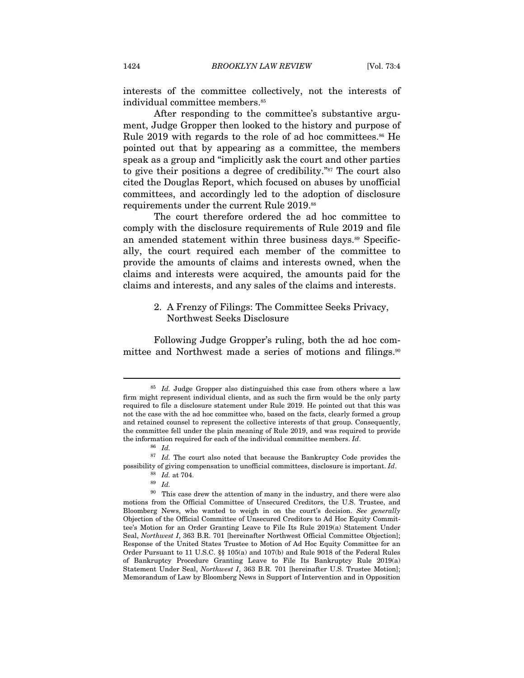interests of the committee collectively, not the interests of individual committee members.<sup>85</sup>

After responding to the committee's substantive argument, Judge Gropper then looked to the history and purpose of Rule 2019 with regards to the role of ad hoc committees.<sup>86</sup> He pointed out that by appearing as a committee, the members speak as a group and "implicitly ask the court and other parties to give their positions a degree of credibility."87 The court also cited the Douglas Report, which focused on abuses by unofficial committees, and accordingly led to the adoption of disclosure requirements under the current Rule 2019.88

The court therefore ordered the ad hoc committee to comply with the disclosure requirements of Rule 2019 and file an amended statement within three business days.<sup>89</sup> Specifically, the court required each member of the committee to provide the amounts of claims and interests owned, when the claims and interests were acquired, the amounts paid for the claims and interests, and any sales of the claims and interests.

# 2. A Frenzy of Filings: The Committee Seeks Privacy, Northwest Seeks Disclosure

Following Judge Gropper's ruling, both the ad hoc committee and Northwest made a series of motions and filings.<sup>90</sup>

 $85$  *Id.* Judge Gropper also distinguished this case from others where a law firm might represent individual clients, and as such the firm would be the only party required to file a disclosure statement under Rule 2019. He pointed out that this was not the case with the ad hoc committee who, based on the facts, clearly formed a group and retained counsel to represent the collective interests of that group. Consequently, the committee fell under the plain meaning of Rule 2019, and was required to provide the information required for each of the individual committee members. Id.  $^{86}$  Id.

 $87$  *Id.* The court also noted that because the Bankruptcy Code provides the possibility of giving compensation to unofficial committees, disclosure is important. Id. 88 Id. at 704.

 $90$  This case drew the attention of many in the industry, and there were also motions from the Official Committee of Unsecured Creditors, the U.S. Trustee, and Bloomberg News, who wanted to weigh in on the court's decision. See generally Objection of the Official Committee of Unsecured Creditors to Ad Hoc Equity Committee's Motion for an Order Granting Leave to File Its Rule 2019(a) Statement Under Seal, Northwest I, 363 B.R. 701 [hereinafter Northwest Official Committee Objection]; Response of the United States Trustee to Motion of Ad Hoc Equity Committee for an Order Pursuant to 11 U.S.C. §§ 105(a) and 107(b) and Rule 9018 of the Federal Rules of Bankruptcy Procedure Granting Leave to File Its Bankruptcy Rule 2019(a) Statement Under Seal, Northwest I, 363 B.R. 701 [hereinafter U.S. Trustee Motion]; Memorandum of Law by Bloomberg News in Support of Intervention and in Opposition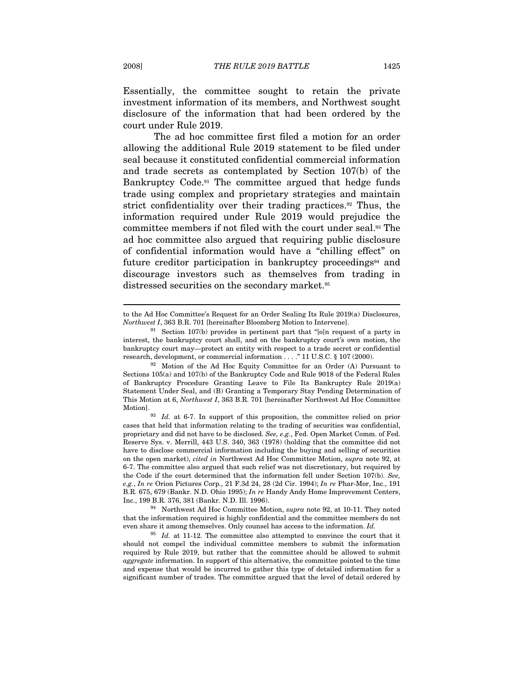Essentially, the committee sought to retain the private investment information of its members, and Northwest sought disclosure of the information that had been ordered by the court under Rule 2019.

The ad hoc committee first filed a motion for an order allowing the additional Rule 2019 statement to be filed under seal because it constituted confidential commercial information and trade secrets as contemplated by Section 107(b) of the Bankruptcy Code.91 The committee argued that hedge funds trade using complex and proprietary strategies and maintain strict confidentiality over their trading practices.<sup>92</sup> Thus, the information required under Rule 2019 would prejudice the committee members if not filed with the court under seal.93 The ad hoc committee also argued that requiring public disclosure of confidential information would have a "chilling effect" on future creditor participation in bankruptcy proceedings<sup>94</sup> and discourage investors such as themselves from trading in distressed securities on the secondary market.<sup>95</sup>

to the Ad Hoc Committee's Request for an Order Sealing Its Rule 2019(a) Disclosures, *Northwest I*, 363 B.R. 701 [hereinafter Bloomberg Motion to Intervene].<br><sup>91</sup> Section 107(b) provides in pertinent part that "[o]n request of a party in

interest, the bankruptcy court shall, and on the bankruptcy court's own motion, the bankruptcy court may—protect an entity with respect to a trade secret or confidential research, development, or commercial information . . . ." 11 U.S.C. § 107 (2000). 92 Motion of the Ad Hoc Equity Committee for an Order (A) Pursuant to

Sections 105(a) and 107(b) of the Bankruptcy Code and Rule 9018 of the Federal Rules of Bankruptcy Procedure Granting Leave to File Its Bankruptcy Rule 2019(a) Statement Under Seal, and (B) Granting a Temporary Stay Pending Determination of This Motion at 6, Northwest I, 363 B.R. 701 [hereinafter Northwest Ad Hoc Committee Motion].<br><sup>93</sup> *Id.* at 6-7. In support of this proposition, the committee relied on prior

cases that held that information relating to the trading of securities was confidential, proprietary and did not have to be disclosed. See, e.g., Fed. Open Market Comm. of Fed. Reserve Sys. v. Merrill, 443 U.S. 340, 363 (1978) (holding that the committee did not have to disclose commercial information including the buying and selling of securities on the open market), cited in Northwest Ad Hoc Committee Motion, supra note 92, at 6-7. The committee also argued that such relief was not discretionary, but required by the Code if the court determined that the information fell under Section 107(b). See, e.g., In re Orion Pictures Corp., 21 F.3d 24, 28 (2d Cir. 1994); In re Phar-Mor, Inc., 191 B.R. 675, 679 (Bankr. N.D. Ohio 1995); In re Handy Andy Home Improvement Centers, Inc., 199 B.R. 376, 381 (Bankr. N.D. Ill. 1996). 94 Northwest Ad Hoc Committee Motion, supra note 92, at 10-11. They noted

that the information required is highly confidential and the committee members do not even share it among themselves. Only counsel has access to the information. Id.

 $95$  Id. at 11-12. The committee also attempted to convince the court that it should not compel the individual committee members to submit the information required by Rule 2019, but rather that the committee should be allowed to submit aggregate information. In support of this alternative, the committee pointed to the time and expense that would be incurred to gather this type of detailed information for a significant number of trades. The committee argued that the level of detail ordered by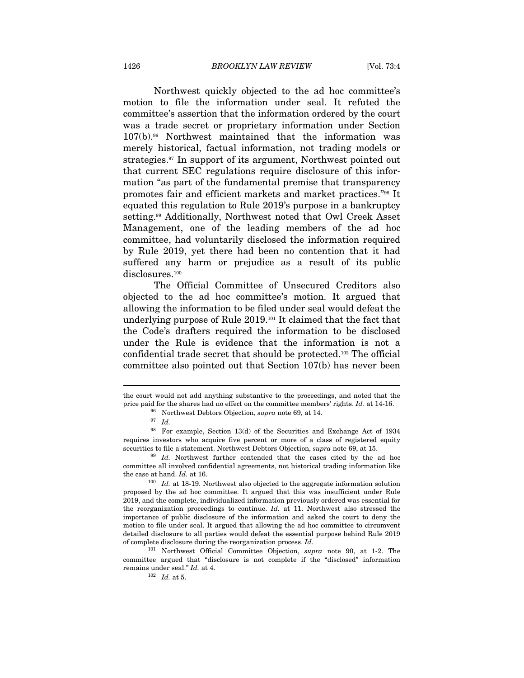Northwest quickly objected to the ad hoc committee's motion to file the information under seal. It refuted the committee's assertion that the information ordered by the court was a trade secret or proprietary information under Section 107(b).96 Northwest maintained that the information was merely historical, factual information, not trading models or strategies.97 In support of its argument, Northwest pointed out that current SEC regulations require disclosure of this information "as part of the fundamental premise that transparency promotes fair and efficient markets and market practices."98 It equated this regulation to Rule 2019's purpose in a bankruptcy setting.99 Additionally, Northwest noted that Owl Creek Asset Management, one of the leading members of the ad hoc committee, had voluntarily disclosed the information required by Rule 2019, yet there had been no contention that it had suffered any harm or prejudice as a result of its public disclosures.<sup>100</sup>

The Official Committee of Unsecured Creditors also objected to the ad hoc committee's motion. It argued that allowing the information to be filed under seal would defeat the underlying purpose of Rule 2019.101 It claimed that the fact that the Code's drafters required the information to be disclosed under the Rule is evidence that the information is not a confidential trade secret that should be protected.102 The official committee also pointed out that Section 107(b) has never been

the court would not add anything substantive to the proceedings, and noted that the price paid for the shares had no effect on the committee members' rights. Id. at 14-16. <sup>96</sup> Northwest Debtors Objection, *supra* note 69, at 14. <sup>97</sup> Id.

<sup>98</sup> For example, Section 13(d) of the Securities and Exchange Act of 1934 requires investors who acquire five percent or more of a class of registered equity securities to file a statement. Northwest Debtors Objection, *supra* note 69, at 15.<br><sup>99</sup> Id. Northwest further contended that the cases cited by the ad hoc

committee all involved confidential agreements, not historical trading information like the case at hand. Id. at 16. 100 Id. at 18-19. Northwest also objected to the aggregate information solution

proposed by the ad hoc committee. It argued that this was insufficient under Rule 2019, and the complete, individualized information previously ordered was essential for the reorganization proceedings to continue. Id. at 11. Northwest also stressed the importance of public disclosure of the information and asked the court to deny the motion to file under seal. It argued that allowing the ad hoc committee to circumvent detailed disclosure to all parties would defeat the essential purpose behind Rule 2019 of complete disclosure during the reorganization process. Id.

<sup>101</sup> Northwest Official Committee Objection, supra note 90, at 1-2. The committee argued that "disclosure is not complete if the "disclosed" information remains under seal."  $Id.$  at 4.<br> $102$   $Id.$  at 5.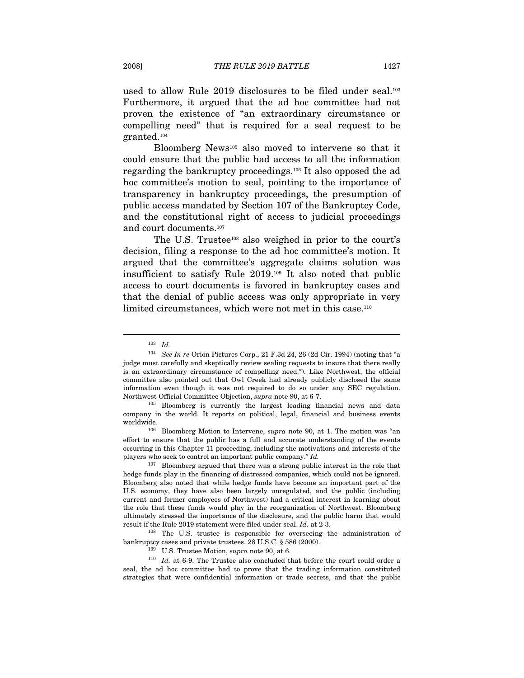used to allow Rule 2019 disclosures to be filed under seal.<sup>103</sup> Furthermore, it argued that the ad hoc committee had not proven the existence of "an extraordinary circumstance or compelling need" that is required for a seal request to be granted.104

Bloomberg News105 also moved to intervene so that it could ensure that the public had access to all the information regarding the bankruptcy proceedings.106 It also opposed the ad hoc committee's motion to seal, pointing to the importance of transparency in bankruptcy proceedings, the presumption of public access mandated by Section 107 of the Bankruptcy Code, and the constitutional right of access to judicial proceedings and court documents.<sup>107</sup>

The U.S. Trustee<sup>108</sup> also weighed in prior to the court's decision, filing a response to the ad hoc committee's motion. It argued that the committee's aggregate claims solution was insufficient to satisfy Rule 2019.109 It also noted that public access to court documents is favored in bankruptcy cases and that the denial of public access was only appropriate in very limited circumstances, which were not met in this case.<sup>110</sup>

 $\overline{a}$ 

effort to ensure that the public has a full and accurate understanding of the events occurring in this Chapter 11 proceeding, including the motivations and interests of the players who seek to control an important public company." Id.

107 Bloomberg argued that there was a strong public interest in the role that hedge funds play in the financing of distressed companies, which could not be ignored. Bloomberg also noted that while hedge funds have become an important part of the U.S. economy, they have also been largely unregulated, and the public (including current and former employees of Northwest) had a critical interest in learning about the role that these funds would play in the reorganization of Northwest. Bloomberg ultimately stressed the importance of the disclosure, and the public harm that would result if the Rule 2019 statement were filed under seal. Id. at 2-3.  $108$  The U.S. trustee is responsible for overseeing the administration of

bankruptcy cases and private trustees. 28 U.S.C. § 586 (2000). <sup>109</sup> U.S. Trustee Motion, *supra* note 90, at 6.

 $110$  *Id.* at 6-9. The Trustee also concluded that before the court could order a seal, the ad hoc committee had to prove that the trading information constituted strategies that were confidential information or trade secrets, and that the public

<sup>103</sup> Id.

 $104$  See In re Orion Pictures Corp., 21 F.3d 24, 26 (2d Cir. 1994) (noting that "a judge must carefully and skeptically review sealing requests to insure that there really is an extraordinary circumstance of compelling need."). Like Northwest, the official committee also pointed out that Owl Creek had already publicly disclosed the same information even though it was not required to do so under any SEC regulation.<br>Northwest Official Committee Objection, *supra* note 90, at 6-7.

 $105$  Bloomberg is currently the largest leading financial news and data company in the world. It reports on political, legal, financial and business events worldwide.<br><sup>106</sup> Bloomberg Motion to Intervene, *supra* note 90, at 1. The motion was "an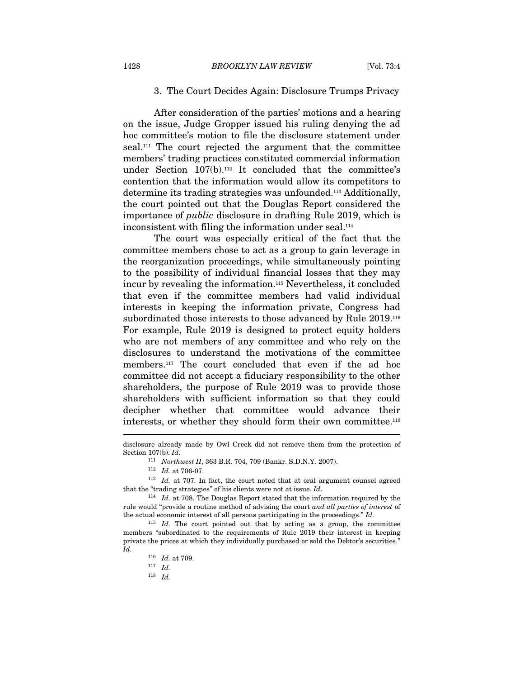#### 3. The Court Decides Again: Disclosure Trumps Privacy

After consideration of the parties' motions and a hearing on the issue, Judge Gropper issued his ruling denying the ad hoc committee's motion to file the disclosure statement under seal.111 The court rejected the argument that the committee members' trading practices constituted commercial information under Section 107(b).112 It concluded that the committee's contention that the information would allow its competitors to determine its trading strategies was unfounded.113 Additionally, the court pointed out that the Douglas Report considered the importance of public disclosure in drafting Rule 2019, which is inconsistent with filing the information under seal.<sup>114</sup>

The court was especially critical of the fact that the committee members chose to act as a group to gain leverage in the reorganization proceedings, while simultaneously pointing to the possibility of individual financial losses that they may incur by revealing the information.115 Nevertheless, it concluded that even if the committee members had valid individual interests in keeping the information private, Congress had subordinated those interests to those advanced by Rule 2019.<sup>116</sup> For example, Rule 2019 is designed to protect equity holders who are not members of any committee and who rely on the disclosures to understand the motivations of the committee members.117 The court concluded that even if the ad hoc committee did not accept a fiduciary responsibility to the other shareholders, the purpose of Rule 2019 was to provide those shareholders with sufficient information so that they could decipher whether that committee would advance their interests, or whether they should form their own committee.<sup>118</sup>  $\overline{a}$ 

 $^{118}\;$   $Id.$ 

disclosure already made by Owl Creek did not remove them from the protection of Section 107(b). Id. 111 Northwest II, 363 B.R. 704, 709 (Bankr. S.D.N.Y. 2007).<br>112 Id. at 706-07.

<sup>&</sup>lt;sup>113</sup> Id. at 707. In fact, the court noted that at oral argument counsel agreed that the "trading strategies" of his clients were not at issue. Id.

 $^{114}\;$  Id. at 708. The Douglas Report stated that the information required by the rule would "provide a routine method of advising the court and all parties of interest of the actual economic interest of all persons participating in the proceedings." Id.

 $115$  *Id.* The court pointed out that by acting as a group, the committee members "subordinated to the requirements of Rule 2019 their interest in keeping private the prices at which they individually purchased or sold the Debtor's securities.' Id.

 $\frac{116}{117}$  *Id.* at 709.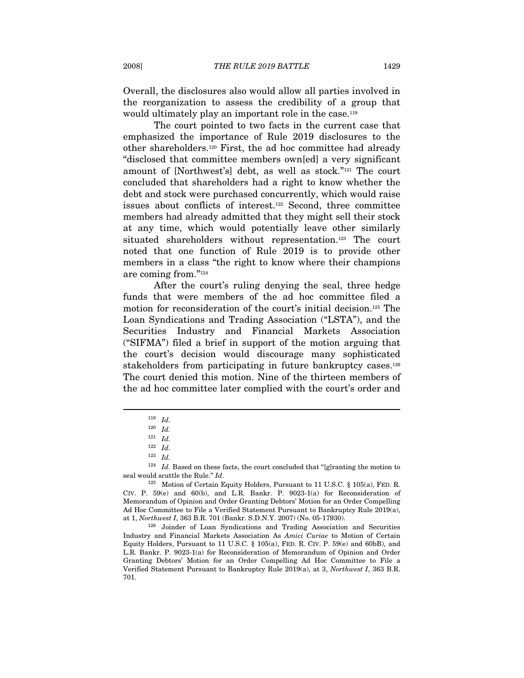Overall, the disclosures also would allow all parties involved in the reorganization to assess the credibility of a group that would ultimately play an important role in the case.<sup>119</sup>

The court pointed to two facts in the current case that emphasized the importance of Rule 2019 disclosures to the other shareholders.120 First, the ad hoc committee had already "disclosed that committee members own[ed] a very significant amount of [Northwest's] debt, as well as stock."121 The court concluded that shareholders had a right to know whether the debt and stock were purchased concurrently, which would raise issues about conflicts of interest.122 Second, three committee members had already admitted that they might sell their stock at any time, which would potentially leave other similarly situated shareholders without representation.<sup>123</sup> The court noted that one function of Rule 2019 is to provide other members in a class "the right to know where their champions are coming from."124

After the court's ruling denying the seal, three hedge funds that were members of the ad hoc committee filed a motion for reconsideration of the court's initial decision.125 The Loan Syndications and Trading Association ("LSTA"), and the Securities Industry and Financial Markets Association ("SIFMA") filed a brief in support of the motion arguing that the court's decision would discourage many sophisticated stakeholders from participating in future bankruptcy cases.<sup>126</sup> The court denied this motion. Nine of the thirteen members of the ad hoc committee later complied with the court's order and

 $^{119}\,$   $Id.$ 

 $^{120}\;$   $Id.$ 

 $121 \quad Id.$ 

 $122$  *Id.* 

<sup>123</sup> Id.

 $^{124}$   $\,$   $Id.$  Based on these facts, the court concluded that "[g]ranting the motion to seal would scuttle the Rule."  $Id.$ 

 $125$  Motion of Certain Equity Holders, Pursuant to 11 U.S.C. § 105(a), FED. R. CIV. P.  $59(e)$  and  $60(b)$ , and L.R. Bankr. P.  $9023-1(a)$  for Reconsideration of Memorandum of Opinion and Order Granting Debtors' Motion for an Order Compelling Ad Hoc Committee to File a Verified Statement Pursuant to Bankruptcy Rule 2019(a), at 1, Northwest I, 363 B.R. 701 (Bankr. S.D.N.Y. 2007) (No. 05-17930). 126 Joinder of Loan Syndications and Trading Association and Securities

Industry and Financial Markets Association As Amici Curiae to Motion of Certain Equity Holders, Pursuant to 11 U.S.C.  $\S$  105(a), FED. R. CIV. P. 59(e) and 60bB), and L.R. Bankr. P. 9023-1(a) for Reconsideration of Memorandum of Opinion and Order Granting Debtors' Motion for an Order Compelling Ad Hoc Committee to File a Verified Statement Pursuant to Bankruptcy Rule 2019(a), at 3, Northwest I, 363 B.R. 701.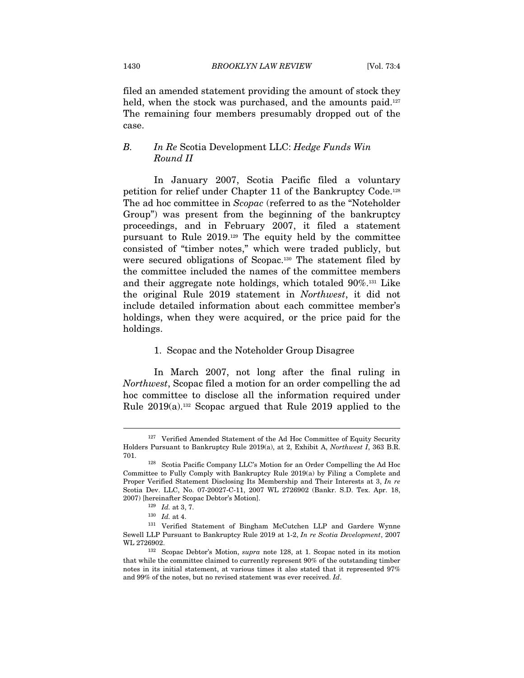filed an amended statement providing the amount of stock they held, when the stock was purchased, and the amounts paid.<sup>127</sup> The remaining four members presumably dropped out of the case.

# B. In Re Scotia Development LLC: Hedge Funds Win Round II

In January 2007, Scotia Pacific filed a voluntary petition for relief under Chapter 11 of the Bankruptcy Code.128 The ad hoc committee in Scopac (referred to as the "Noteholder Group") was present from the beginning of the bankruptcy proceedings, and in February 2007, it filed a statement pursuant to Rule 2019.129 The equity held by the committee consisted of "timber notes," which were traded publicly, but were secured obligations of Scopac.130 The statement filed by the committee included the names of the committee members and their aggregate note holdings, which totaled 90%.131 Like the original Rule 2019 statement in Northwest, it did not include detailed information about each committee member's holdings, when they were acquired, or the price paid for the holdings.

#### 1. Scopac and the Noteholder Group Disagree

In March 2007, not long after the final ruling in Northwest, Scopac filed a motion for an order compelling the ad hoc committee to disclose all the information required under Rule 2019(a).132 Scopac argued that Rule 2019 applied to the

<sup>&</sup>lt;sup>127</sup> Verified Amended Statement of the Ad Hoc Committee of Equity Security Holders Pursuant to Bankruptcy Rule 2019(a), at 2, Exhibit A, Northwest I, 363 B.R.

<sup>701. 128</sup> Scotia Pacific Company LLC's Motion for an Order Compelling the Ad Hoc Committee to Fully Comply with Bankruptcy Rule 2019(a) by Filing a Complete and Proper Verified Statement Disclosing Its Membership and Their Interests at 3, In re Scotia Dev. LLC, No. 07-20027-C-11, 2007 WL 2726902 (Bankr. S.D. Tex. Apr. 18,

<sup>2007) [</sup>hereinafter Scopac Debtor's Motion].<br>
<sup>129</sup> *Id.* at 3, 7.<br>
<sup>130</sup> *Id.* at 4.<br>
<sup>131</sup> Verified Statement of Bingham McCutchen LLP and Gardere Wynne Sewell LLP Pursuant to Bankruptcy Rule 2019 at 1-2, In re Scotia Development, 2007 WL 2726902.<br><sup>132</sup> Scopac Debtor's Motion, *supra* note 128, at 1. Scopac noted in its motion

that while the committee claimed to currently represent 90% of the outstanding timber notes in its initial statement, at various times it also stated that it represented 97% and 99% of the notes, but no revised statement was ever received. Id.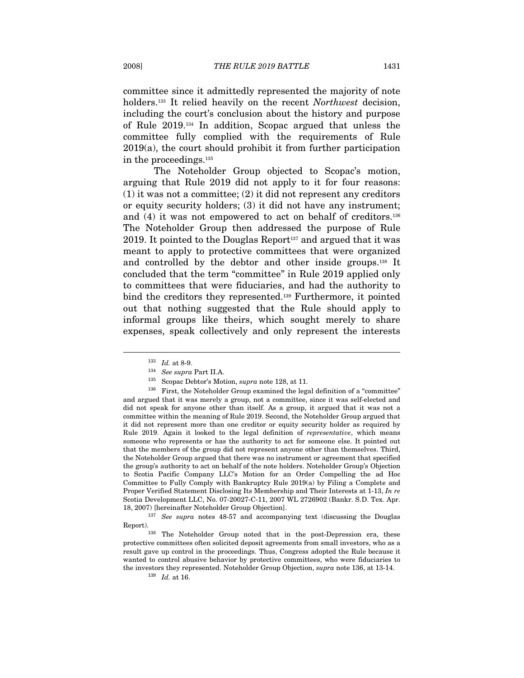committee since it admittedly represented the majority of note holders.<sup>133</sup> It relied heavily on the recent Northwest decision, including the court's conclusion about the history and purpose of Rule 2019.134 In addition, Scopac argued that unless the committee fully complied with the requirements of Rule 2019(a), the court should prohibit it from further participation in the proceedings.135

The Noteholder Group objected to Scopac's motion, arguing that Rule 2019 did not apply to it for four reasons: (1) it was not a committee; (2) it did not represent any creditors or equity security holders; (3) it did not have any instrument; and (4) it was not empowered to act on behalf of creditors.136 The Noteholder Group then addressed the purpose of Rule 2019. It pointed to the Douglas Report<sup>137</sup> and argued that it was meant to apply to protective committees that were organized and controlled by the debtor and other inside groups.138 It concluded that the term "committee" in Rule 2019 applied only to committees that were fiduciaries, and had the authority to bind the creditors they represented.<sup>139</sup> Furthermore, it pointed out that nothing suggested that the Rule should apply to informal groups like theirs, which sought merely to share expenses, speak collectively and only represent the interests

<sup>&</sup>lt;sup>133</sup> Id. at 8-9.<br><sup>134</sup> See supra Part II.A.<br><sup>135</sup> Scopac Debtor's Motion, *supra* note 128, at 11.<br><sup>136</sup> First, the Noteholder Group examined the legal definition of a "committee" and argued that it was merely a group, not a committee, since it was self-elected and did not speak for anyone other than itself. As a group, it argued that it was not a committee within the meaning of Rule 2019. Second, the Noteholder Group argued that it did not represent more than one creditor or equity security holder as required by Rule 2019. Again it looked to the legal definition of representative, which means someone who represents or has the authority to act for someone else. It pointed out that the members of the group did not represent anyone other than themselves. Third, the Noteholder Group argued that there was no instrument or agreement that specified the group's authority to act on behalf of the note holders. Noteholder Group's Objection to Scotia Pacific Company LLC's Motion for an Order Compelling the ad Hoc Committee to Fully Comply with Bankruptcy Rule 2019(a) by Filing a Complete and Proper Verified Statement Disclosing Its Membership and Their Interests at 1-13, In re Scotia Development LLC, No. 07-20027-C-11, 2007 WL 2726902 (Bankr. S.D. Tex. Apr. 18, 2007) [hereinafter Noteholder Group Objection].<br> $^{137}$  See supra notes 48-57 and accompanying text (discussing the Douglas

Report). 138 The Noteholder Group noted that in the post-Depression era, these

protective committees often solicited deposit agreements from small investors, who as a result gave up control in the proceedings. Thus, Congress adopted the Rule because it wanted to control abusive behavior by protective committees, who were fiduciaries to the investors they represented. Noteholder Group Objection, supra note 136, at 13-14.  $^{139}$  Id. at 16.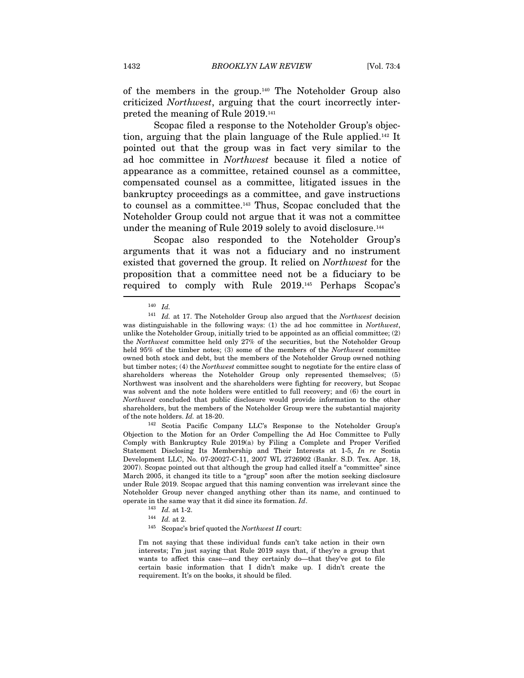of the members in the group.140 The Noteholder Group also criticized Northwest, arguing that the court incorrectly interpreted the meaning of Rule 2019.141

Scopac filed a response to the Noteholder Group's objection, arguing that the plain language of the Rule applied.142 It pointed out that the group was in fact very similar to the ad hoc committee in Northwest because it filed a notice of appearance as a committee, retained counsel as a committee, compensated counsel as a committee, litigated issues in the bankruptcy proceedings as a committee, and gave instructions to counsel as a committee.143 Thus, Scopac concluded that the Noteholder Group could not argue that it was not a committee under the meaning of Rule 2019 solely to avoid disclosure.<sup>144</sup>

Scopac also responded to the Noteholder Group's arguments that it was not a fiduciary and no instrument existed that governed the group. It relied on Northwest for the proposition that a committee need not be a fiduciary to be required to comply with Rule 2019.145 Perhaps Scopac's

Objection to the Motion for an Order Compelling the Ad Hoc Committee to Fully Comply with Bankruptcy Rule 2019(a) by Filing a Complete and Proper Verified Statement Disclosing Its Membership and Their Interests at 1-5, In re Scotia Development LLC, No. 07-20027-C-11, 2007 WL 2726902 (Bankr. S.D. Tex. Apr. 18, 2007). Scopac pointed out that although the group had called itself a "committee" since March 2005, it changed its title to a "group" soon after the motion seeking disclosure under Rule 2019. Scopac argued that this naming convention was irrelevant since the Noteholder Group never changed anything other than its name, and continued to % operate in the same way that it did since its formation. Id. 143 Id. at 1-2. 144 Id. at 2. 145 Scopac's brief quoted the Northwest II court:

I'm not saying that these individual funds can't take action in their own interests; I'm just saying that Rule 2019 says that, if they're a group that wants to affect this case—and they certainly do—that they've got to file certain basic information that I didn't make up. I didn't create the requirement. It's on the books, it should be filed.

<sup>140</sup> Id.

 $141$  *Id.* at 17. The Noteholder Group also argued that the Northwest decision was distinguishable in the following ways: (1) the ad hoc committee in Northwest, unlike the Noteholder Group, initially tried to be appointed as an official committee; (2) the Northwest committee held only 27% of the securities, but the Noteholder Group held 95% of the timber notes; (3) some of the members of the Northwest committee owned both stock and debt, but the members of the Noteholder Group owned nothing but timber notes; (4) the Northwest committee sought to negotiate for the entire class of shareholders whereas the Noteholder Group only represented themselves; (5) Northwest was insolvent and the shareholders were fighting for recovery, but Scopac was solvent and the note holders were entitled to full recovery; and (6) the court in Northwest concluded that public disclosure would provide information to the other shareholders, but the members of the Noteholder Group were the substantial majority of the note holders. Id. at 18-20.<br><sup>142</sup> Scotia Pacific Company LLC's Response to the Noteholder Group's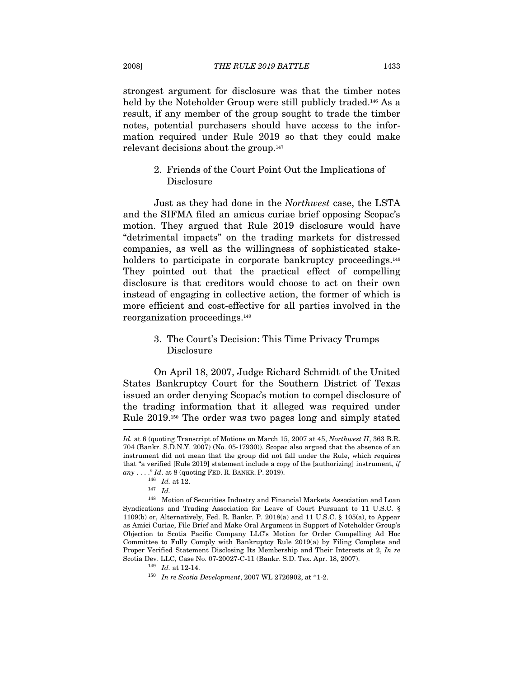strongest argument for disclosure was that the timber notes held by the Noteholder Group were still publicly traded.<sup>146</sup> As a result, if any member of the group sought to trade the timber notes, potential purchasers should have access to the information required under Rule 2019 so that they could make relevant decisions about the group.147

# 2. Friends of the Court Point Out the Implications of Disclosure

Just as they had done in the Northwest case, the LSTA and the SIFMA filed an amicus curiae brief opposing Scopac's motion. They argued that Rule 2019 disclosure would have "detrimental impacts" on the trading markets for distressed companies, as well as the willingness of sophisticated stakeholders to participate in corporate bankruptcy proceedings.<sup>148</sup> They pointed out that the practical effect of compelling disclosure is that creditors would choose to act on their own instead of engaging in collective action, the former of which is more efficient and cost-effective for all parties involved in the reorganization proceedings.149

# 3. The Court's Decision: This Time Privacy Trumps Disclosure

On April 18, 2007, Judge Richard Schmidt of the United States Bankruptcy Court for the Southern District of Texas issued an order denying Scopac's motion to compel disclosure of the trading information that it alleged was required under Rule 2019.150 The order was two pages long and simply stated

Id. at 6 (quoting Transcript of Motions on March 15, 2007 at 45, Northwest II, 363 B.R. 704 (Bankr. S.D.N.Y. 2007) (No. 05-17930)). Scopac also argued that the absence of an instrument did not mean that the group did not fall under the Rule, which requires that "a verified [Rule 2019] statement include a copy of the [authorizing] instrument, if any . . . ." Id. at 8 (quoting FED. R. BANKR. P. 2019).<br>
<sup>146</sup> Id. at 12.<br>
<sup>147</sup> Id.

 $^{148}\;$  Motion of Securities Industry and Financial Markets Association and Loan Syndications and Trading Association for Leave of Court Pursuant to 11 U.S.C. § 1109(b) or, Alternatively, Fed. R. Bankr. P. 2018(a) and 11 U.S.C. § 105(a), to Appear as Amici Curiae, File Brief and Make Oral Argument in Support of Noteholder Group's Objection to Scotia Pacific Company LLC's Motion for Order Compelling Ad Hoc Committee to Fully Comply with Bankruptcy Rule 2019(a) by Filing Complete and Proper Verified Statement Disclosing Its Membership and Their Interests at 2, In re Scotia Dev. LLC, Case No. 07-20027-C-11 (Bankr. S.D. Tex. Apr. 18, 2007).<br><sup>149</sup> Id. at 12-14.<br><sup>150</sup> In re Scotia Development, 2007 WL 2726902, at \*1-2.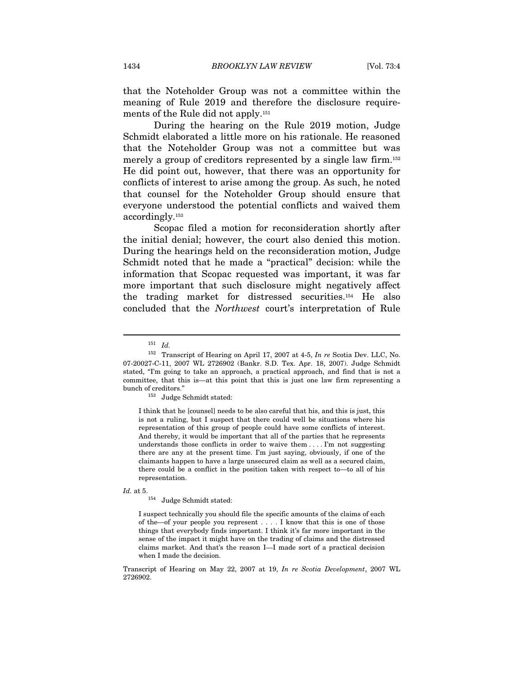that the Noteholder Group was not a committee within the meaning of Rule 2019 and therefore the disclosure requirements of the Rule did not apply.151

During the hearing on the Rule 2019 motion, Judge Schmidt elaborated a little more on his rationale. He reasoned that the Noteholder Group was not a committee but was merely a group of creditors represented by a single law firm.<sup>152</sup> He did point out, however, that there was an opportunity for conflicts of interest to arise among the group. As such, he noted that counsel for the Noteholder Group should ensure that everyone understood the potential conflicts and waived them accordingly.153

Scopac filed a motion for reconsideration shortly after the initial denial; however, the court also denied this motion. During the hearings held on the reconsideration motion, Judge Schmidt noted that he made a "practical" decision: while the information that Scopac requested was important, it was far more important that such disclosure might negatively affect the trading market for distressed securities.154 He also concluded that the Northwest court's interpretation of Rule

 $\overline{a}$ 

I think that he [counsel] needs to be also careful that his, and this is just, this is not a ruling, but I suspect that there could well be situations where his representation of this group of people could have some conflicts of interest. And thereby, it would be important that all of the parties that he represents understands those conflicts in order to waive them . . . . I'm not suggesting there are any at the present time. I'm just saying, obviously, if one of the claimants happen to have a large unsecured claim as well as a secured claim, there could be a conflict in the position taken with respect to—to all of his representation.

 $Id.$  at 5.  $$\rm{Judge}$  Schmidt stated:

I suspect technically you should file the specific amounts of the claims of each of the—of your people you represent . . . . I know that this is one of those things that everybody finds important. I think it's far more important in the sense of the impact it might have on the trading of claims and the distressed claims market. And that's the reason I—I made sort of a practical decision when I made the decision.

Transcript of Hearing on May 22, 2007 at 19, In re Scotia Development, 2007 WL 2726902.

 $^{151}\,$   $Id.$ 

<sup>&</sup>lt;sup>152</sup> Transcript of Hearing on April 17, 2007 at 4-5, In re Scotia Dev. LLC, No. 07-20027-C-11, 2007 WL 2726902 (Bankr. S.D. Tex. Apr. 18, 2007). Judge Schmidt stated, "I'm going to take an approach, a practical approach, and find that is not a committee, that this is—at this point that this is just one law firm representing a bunch of creditors."<br><sup>153</sup> Judge Schmidt stated: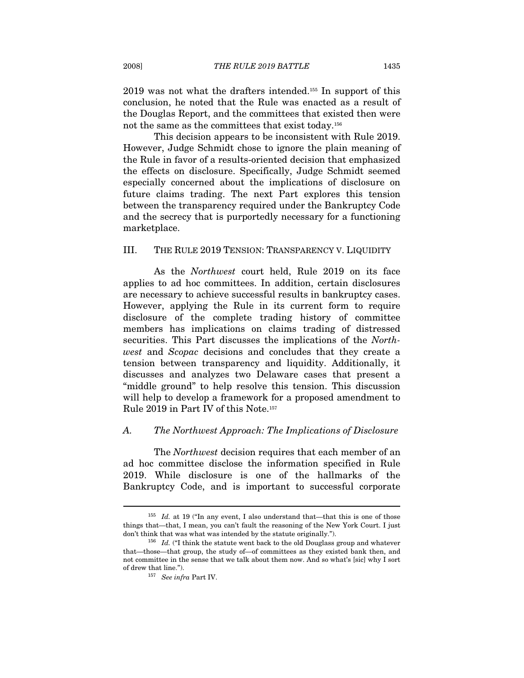2019 was not what the drafters intended.155 In support of this conclusion, he noted that the Rule was enacted as a result of the Douglas Report, and the committees that existed then were not the same as the committees that exist today.156

This decision appears to be inconsistent with Rule 2019. However, Judge Schmidt chose to ignore the plain meaning of the Rule in favor of a results-oriented decision that emphasized the effects on disclosure. Specifically, Judge Schmidt seemed especially concerned about the implications of disclosure on future claims trading. The next Part explores this tension between the transparency required under the Bankruptcy Code and the secrecy that is purportedly necessary for a functioning marketplace.

#### III. THE RULE 2019 TENSION: TRANSPARENCY V. LIQUIDITY

As the Northwest court held, Rule 2019 on its face applies to ad hoc committees. In addition, certain disclosures are necessary to achieve successful results in bankruptcy cases. However, applying the Rule in its current form to require disclosure of the complete trading history of committee members has implications on claims trading of distressed securities. This Part discusses the implications of the Northwest and Scopac decisions and concludes that they create a tension between transparency and liquidity. Additionally, it discusses and analyzes two Delaware cases that present a "middle ground" to help resolve this tension. This discussion will help to develop a framework for a proposed amendment to Rule 2019 in Part IV of this Note.157

#### A. The Northwest Approach: The Implications of Disclosure

The Northwest decision requires that each member of an ad hoc committee disclose the information specified in Rule 2019. While disclosure is one of the hallmarks of the Bankruptcy Code, and is important to successful corporate

 $155$  *Id.* at 19 ("In any event, I also understand that—that this is one of those things that—that, I mean, you can't fault the reasoning of the New York Court. I just don't think that was what was intended by the statute originally.").

<sup>&</sup>lt;sup>156</sup> Id. ("I think the statute went back to the old Douglass group and whatever that—those—that group, the study of—of committees as they existed bank then, and not committee in the sense that we talk about them now. And so what's [sic] why I sort % of drew that line."). <br>  $$^{157}$   $\,$  See in<br>fra Part IV.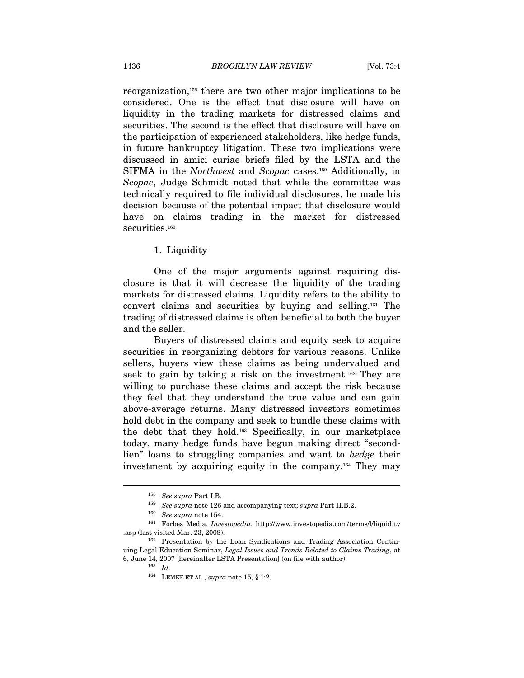reorganization,158 there are two other major implications to be considered. One is the effect that disclosure will have on liquidity in the trading markets for distressed claims and securities. The second is the effect that disclosure will have on the participation of experienced stakeholders, like hedge funds, in future bankruptcy litigation. These two implications were discussed in amici curiae briefs filed by the LSTA and the SIFMA in the Northwest and Scopac cases.159 Additionally, in Scopac, Judge Schmidt noted that while the committee was technically required to file individual disclosures, he made his decision because of the potential impact that disclosure would have on claims trading in the market for distressed securities.<sup>160</sup>

#### 1. Liquidity

One of the major arguments against requiring disclosure is that it will decrease the liquidity of the trading markets for distressed claims. Liquidity refers to the ability to convert claims and securities by buying and selling.161 The trading of distressed claims is often beneficial to both the buyer and the seller.

Buyers of distressed claims and equity seek to acquire securities in reorganizing debtors for various reasons. Unlike sellers, buyers view these claims as being undervalued and seek to gain by taking a risk on the investment.162 They are willing to purchase these claims and accept the risk because they feel that they understand the true value and can gain above-average returns. Many distressed investors sometimes hold debt in the company and seek to bundle these claims with the debt that they hold.163 Specifically, in our marketplace today, many hedge funds have begun making direct "secondlien" loans to struggling companies and want to hedge their investment by acquiring equity in the company.164 They may

<sup>&</sup>lt;sup>158</sup> See supra Part I.B.<br>
<sup>159</sup> See supra note 126 and accompanying text; supra Part II.B.2.<br>
<sup>160</sup> See supra note 154.<br>
<sup>161</sup> Forbes Media, *Investopedia*, http://www.investopedia.com/terms/l/liquidity

<sup>.</sup>asp (last visited Mar. 23, 2008). 162 Presentation by the Loan Syndications and Trading Association Continuing Legal Education Seminar, Legal Issues and Trends Related to Claims Trading, at 6, June 14, 2007 [hereinafter LSTA Presentation] (on file with author). 163  $Id$ .

 $^{164}$  LEMKE ET AL.,  $supra$  note 15,  $\S$  1:2.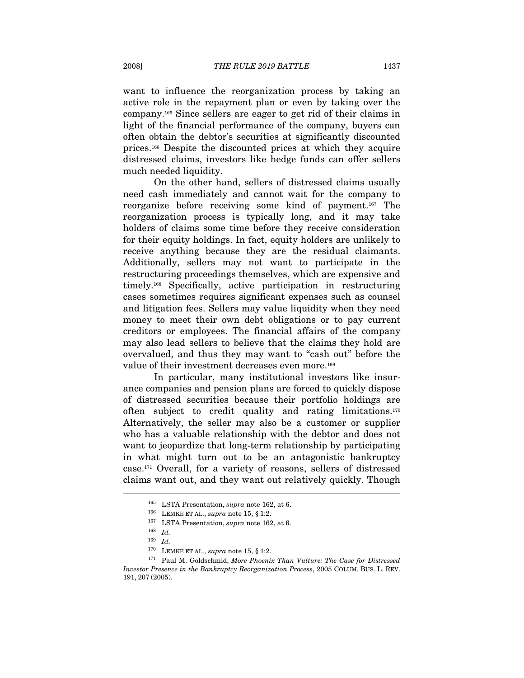want to influence the reorganization process by taking an active role in the repayment plan or even by taking over the company.165 Since sellers are eager to get rid of their claims in light of the financial performance of the company, buyers can often obtain the debtor's securities at significantly discounted prices.166 Despite the discounted prices at which they acquire distressed claims, investors like hedge funds can offer sellers much needed liquidity.

On the other hand, sellers of distressed claims usually need cash immediately and cannot wait for the company to reorganize before receiving some kind of payment.167 The reorganization process is typically long, and it may take holders of claims some time before they receive consideration for their equity holdings. In fact, equity holders are unlikely to receive anything because they are the residual claimants. Additionally, sellers may not want to participate in the restructuring proceedings themselves, which are expensive and timely.168 Specifically, active participation in restructuring cases sometimes requires significant expenses such as counsel and litigation fees. Sellers may value liquidity when they need money to meet their own debt obligations or to pay current creditors or employees. The financial affairs of the company may also lead sellers to believe that the claims they hold are overvalued, and thus they may want to "cash out" before the value of their investment decreases even more.<sup>169</sup>

In particular, many institutional investors like insurance companies and pension plans are forced to quickly dispose of distressed securities because their portfolio holdings are often subject to credit quality and rating limitations.170 Alternatively, the seller may also be a customer or supplier who has a valuable relationship with the debtor and does not want to jeopardize that long-term relationship by participating in what might turn out to be an antagonistic bankruptcy case.171 Overall, for a variety of reasons, sellers of distressed claims want out, and they want out relatively quickly. Though  $\overline{a}$ 

<sup>&</sup>lt;sup>165</sup> LSTA Presentation, *supra* note 162, at 6.<br><sup>166</sup> LEMKE ET AL., *supra* note 15, § 1:2.<br><sup>167</sup> LSTA Presentation, *supra* note 162, at 6.<br><sup>168</sup> Id.

 $^{169}$   $\,$   $Id.$   $^{170}$   $\,$  LEMKE ET AL.,  $supra$  note 15, § 1:2.

 $171$  Paul M. Goldschmid, More Phoenix Than Vulture: The Case for Distressed Investor Presence in the Bankruptcy Reorganization Process, 2005 COLUM. BUS. L. REV. 191, 207 (2005).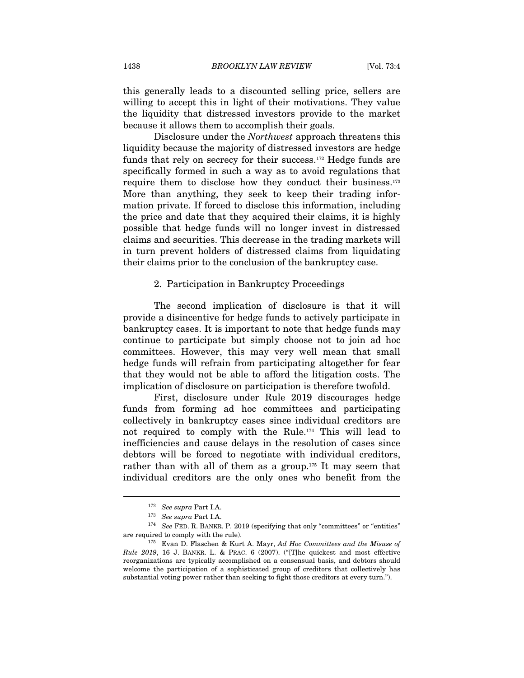this generally leads to a discounted selling price, sellers are willing to accept this in light of their motivations. They value the liquidity that distressed investors provide to the market because it allows them to accomplish their goals.

Disclosure under the Northwest approach threatens this liquidity because the majority of distressed investors are hedge funds that rely on secrecy for their success.172 Hedge funds are specifically formed in such a way as to avoid regulations that require them to disclose how they conduct their business.173 More than anything, they seek to keep their trading information private. If forced to disclose this information, including the price and date that they acquired their claims, it is highly possible that hedge funds will no longer invest in distressed claims and securities. This decrease in the trading markets will in turn prevent holders of distressed claims from liquidating their claims prior to the conclusion of the bankruptcy case.

#### 2. Participation in Bankruptcy Proceedings

The second implication of disclosure is that it will provide a disincentive for hedge funds to actively participate in bankruptcy cases. It is important to note that hedge funds may continue to participate but simply choose not to join ad hoc committees. However, this may very well mean that small hedge funds will refrain from participating altogether for fear that they would not be able to afford the litigation costs. The implication of disclosure on participation is therefore twofold.

First, disclosure under Rule 2019 discourages hedge funds from forming ad hoc committees and participating collectively in bankruptcy cases since individual creditors are not required to comply with the Rule.174 This will lead to inefficiencies and cause delays in the resolution of cases since debtors will be forced to negotiate with individual creditors, rather than with all of them as a group.<sup>175</sup> It may seem that individual creditors are the only ones who benefit from the

<sup>&</sup>lt;sup>172</sup> See supra Part I.A.<br><sup>173</sup> See supra Part I.A.<br><sup>174</sup> See FED. R. BANKR. P. 2019 (specifying that only "committees" or "entities"

are required to comply with the rule). 175 Evan D. Flaschen & Kurt A. Mayr, Ad Hoc Committees and the Misuse of Rule 2019, 16 J. BANKR. L. & PRAC. 6 (2007). ("[T]he quickest and most effective reorganizations are typically accomplished on a consensual basis, and debtors should welcome the participation of a sophisticated group of creditors that collectively has substantial voting power rather than seeking to fight those creditors at every turn.").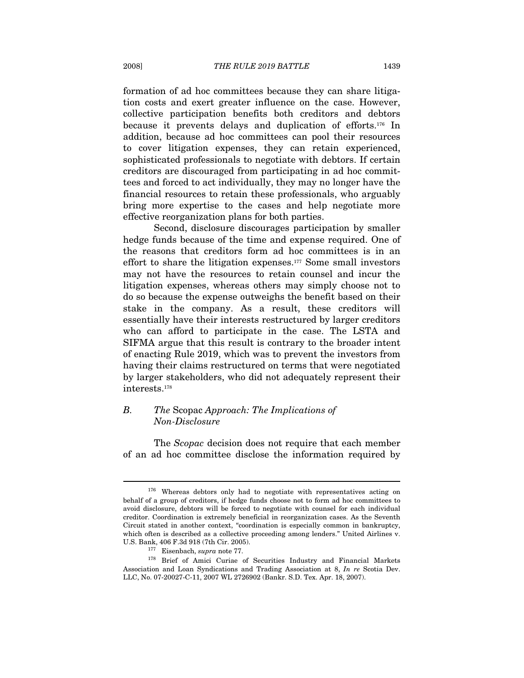formation of ad hoc committees because they can share litigation costs and exert greater influence on the case. However, collective participation benefits both creditors and debtors because it prevents delays and duplication of efforts.176 In addition, because ad hoc committees can pool their resources to cover litigation expenses, they can retain experienced, sophisticated professionals to negotiate with debtors. If certain creditors are discouraged from participating in ad hoc committees and forced to act individually, they may no longer have the financial resources to retain these professionals, who arguably bring more expertise to the cases and help negotiate more effective reorganization plans for both parties.

Second, disclosure discourages participation by smaller hedge funds because of the time and expense required. One of the reasons that creditors form ad hoc committees is in an effort to share the litigation expenses.177 Some small investors may not have the resources to retain counsel and incur the litigation expenses, whereas others may simply choose not to do so because the expense outweighs the benefit based on their stake in the company. As a result, these creditors will essentially have their interests restructured by larger creditors who can afford to participate in the case. The LSTA and SIFMA argue that this result is contrary to the broader intent of enacting Rule 2019, which was to prevent the investors from having their claims restructured on terms that were negotiated by larger stakeholders, who did not adequately represent their interests.178

# B. The Scopac Approach: The Implications of Non-Disclosure

The Scopac decision does not require that each member of an ad hoc committee disclose the information required by

<sup>&</sup>lt;sup>176</sup> Whereas debtors only had to negotiate with representatives acting on behalf of a group of creditors, if hedge funds choose not to form ad hoc committees to avoid disclosure, debtors will be forced to negotiate with counsel for each individual creditor. Coordination is extremely beneficial in reorganization cases. As the Seventh Circuit stated in another context, "coordination is especially common in bankruptcy, which often is described as a collective proceeding among lenders." United Airlines v. U.S. Bank, 406 F.3d 918 (7th Cir. 2005).<br><sup>177</sup> Eisenbach, *supra* note 77.<br><sup>178</sup> Brief of Amici Curiae of Securities Industry and Financial Markets

Association and Loan Syndications and Trading Association at 8, In re Scotia Dev. LLC, No. 07-20027-C-11, 2007 WL 2726902 (Bankr. S.D. Tex. Apr. 18, 2007).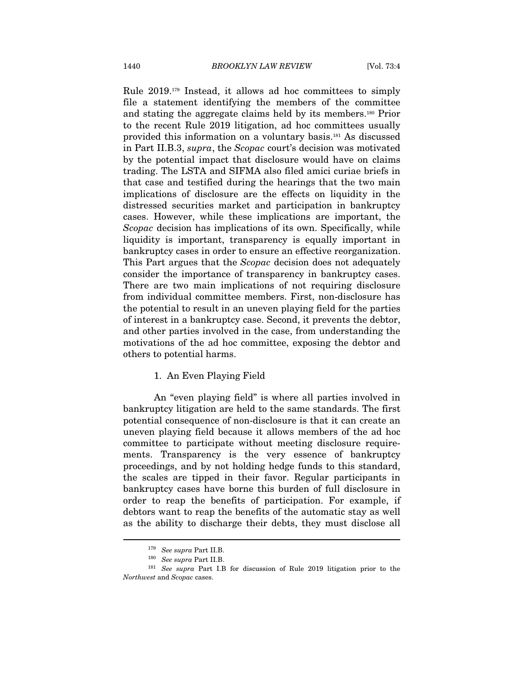Rule 2019.179 Instead, it allows ad hoc committees to simply file a statement identifying the members of the committee and stating the aggregate claims held by its members.180 Prior to the recent Rule 2019 litigation, ad hoc committees usually provided this information on a voluntary basis.181 As discussed in Part II.B.3, supra, the Scopac court's decision was motivated by the potential impact that disclosure would have on claims trading. The LSTA and SIFMA also filed amici curiae briefs in that case and testified during the hearings that the two main implications of disclosure are the effects on liquidity in the distressed securities market and participation in bankruptcy cases. However, while these implications are important, the Scopac decision has implications of its own. Specifically, while liquidity is important, transparency is equally important in bankruptcy cases in order to ensure an effective reorganization. This Part argues that the *Scopac* decision does not adequately consider the importance of transparency in bankruptcy cases. There are two main implications of not requiring disclosure from individual committee members. First, non-disclosure has the potential to result in an uneven playing field for the parties of interest in a bankruptcy case. Second, it prevents the debtor, and other parties involved in the case, from understanding the motivations of the ad hoc committee, exposing the debtor and others to potential harms.

#### 1. An Even Playing Field

An "even playing field" is where all parties involved in bankruptcy litigation are held to the same standards. The first potential consequence of non-disclosure is that it can create an uneven playing field because it allows members of the ad hoc committee to participate without meeting disclosure requirements. Transparency is the very essence of bankruptcy proceedings, and by not holding hedge funds to this standard, the scales are tipped in their favor. Regular participants in bankruptcy cases have borne this burden of full disclosure in order to reap the benefits of participation. For example, if debtors want to reap the benefits of the automatic stay as well as the ability to discharge their debts, they must disclose all

 $\begin{aligned} \text{^{179} } \textit{See supra Part II.B.} \\ \text{^{180} } \textit{See supra Part II.B.} \\ \text{^{181} } \textit{See supra Part I.B for discussion of Rule 2019} \textit{litigation prior to the} \end{aligned}$ Northwest and Scopac cases.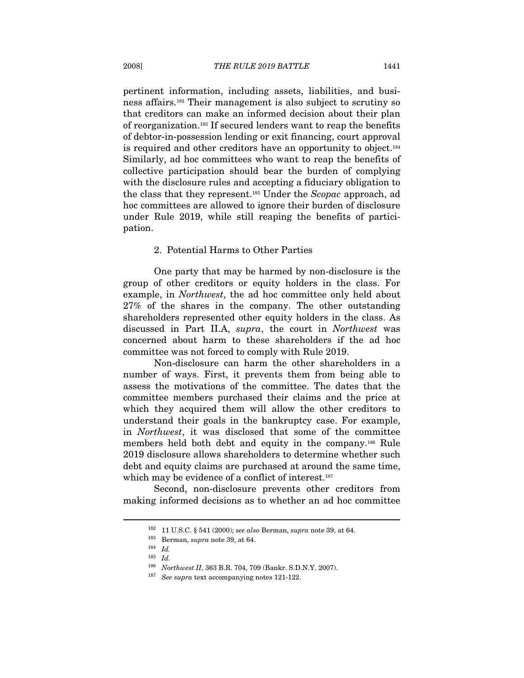pertinent information, including assets, liabilities, and business affairs.182 Their management is also subject to scrutiny so that creditors can make an informed decision about their plan of reorganization.183 If secured lenders want to reap the benefits of debtor-in-possession lending or exit financing, court approval is required and other creditors have an opportunity to object.184 Similarly, ad hoc committees who want to reap the benefits of collective participation should bear the burden of complying with the disclosure rules and accepting a fiduciary obligation to the class that they represent.185 Under the Scopac approach, ad hoc committees are allowed to ignore their burden of disclosure under Rule 2019, while still reaping the benefits of participation.

#### 2. Potential Harms to Other Parties

One party that may be harmed by non-disclosure is the group of other creditors or equity holders in the class. For example, in Northwest, the ad hoc committee only held about 27% of the shares in the company. The other outstanding shareholders represented other equity holders in the class. As discussed in Part II.A, supra, the court in Northwest was concerned about harm to these shareholders if the ad hoc committee was not forced to comply with Rule 2019.

Non-disclosure can harm the other shareholders in a number of ways. First, it prevents them from being able to assess the motivations of the committee. The dates that the committee members purchased their claims and the price at which they acquired them will allow the other creditors to understand their goals in the bankruptcy case. For example, in Northwest, it was disclosed that some of the committee members held both debt and equity in the company.186 Rule 2019 disclosure allows shareholders to determine whether such debt and equity claims are purchased at around the same time, which may be evidence of a conflict of interest.<sup>187</sup>

Second, non-disclosure prevents other creditors from making informed decisions as to whether an ad hoc committee

<sup>&</sup>lt;sup>182</sup> 11 U.S.C. § 541 (2000); *see also* Berman, *supra* note 39, at 64.<br><sup>183</sup> Berman, *supra* note 39, at 64.<br><sup>184</sup> Id.

<sup>185</sup> Id.

<sup>&</sup>lt;sup>186</sup> Northwest II, 363 B.R. 704, 709 (Bankr. S.D.N.Y. 2007).<br><sup>187</sup> See supra text accompanying notes 121-122.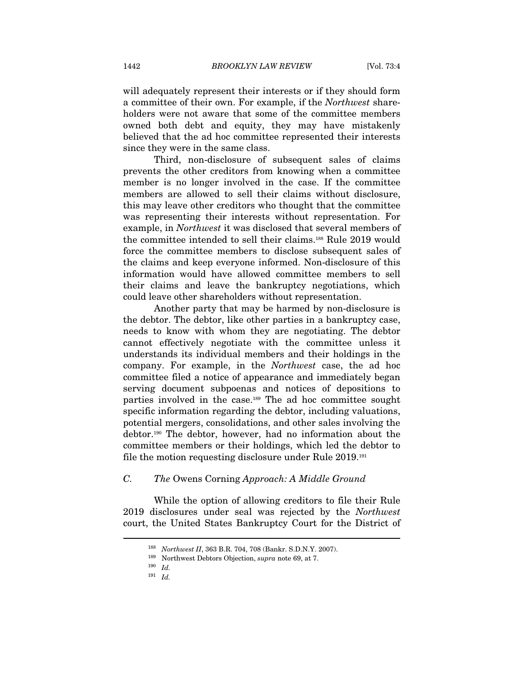will adequately represent their interests or if they should form a committee of their own. For example, if the Northwest shareholders were not aware that some of the committee members owned both debt and equity, they may have mistakenly believed that the ad hoc committee represented their interests since they were in the same class.

Third, non-disclosure of subsequent sales of claims prevents the other creditors from knowing when a committee member is no longer involved in the case. If the committee members are allowed to sell their claims without disclosure, this may leave other creditors who thought that the committee was representing their interests without representation. For example, in Northwest it was disclosed that several members of the committee intended to sell their claims.188 Rule 2019 would force the committee members to disclose subsequent sales of the claims and keep everyone informed. Non-disclosure of this information would have allowed committee members to sell their claims and leave the bankruptcy negotiations, which could leave other shareholders without representation.

Another party that may be harmed by non-disclosure is the debtor. The debtor, like other parties in a bankruptcy case, needs to know with whom they are negotiating. The debtor cannot effectively negotiate with the committee unless it understands its individual members and their holdings in the company. For example, in the Northwest case, the ad hoc committee filed a notice of appearance and immediately began serving document subpoenas and notices of depositions to parties involved in the case.189 The ad hoc committee sought specific information regarding the debtor, including valuations, potential mergers, consolidations, and other sales involving the debtor.190 The debtor, however, had no information about the committee members or their holdings, which led the debtor to file the motion requesting disclosure under Rule 2019.191

## C. The Owens Corning Approach: A Middle Ground

While the option of allowing creditors to file their Rule 2019 disclosures under seal was rejected by the Northwest court, the United States Bankruptcy Court for the District of

<sup>188</sup> Northwest II, 363 B.R. 704, 708 (Bankr. S.D.N.Y. 2007).

<sup>&</sup>lt;sup>189</sup> Northwest Debtors Objection, *supra* note 69, at 7.<br><sup>190</sup> Id.

 $^{191}\,$   $Id.$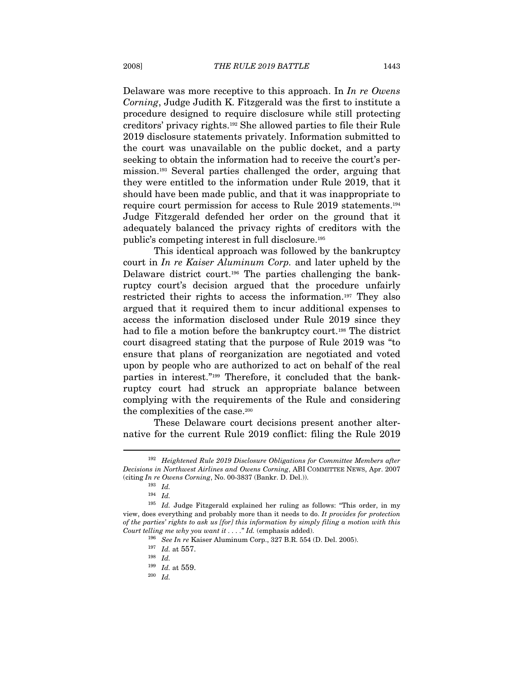Delaware was more receptive to this approach. In In re Owens Corning, Judge Judith K. Fitzgerald was the first to institute a procedure designed to require disclosure while still protecting creditors' privacy rights.192 She allowed parties to file their Rule 2019 disclosure statements privately. Information submitted to the court was unavailable on the public docket, and a party seeking to obtain the information had to receive the court's permission.193 Several parties challenged the order, arguing that they were entitled to the information under Rule 2019, that it should have been made public, and that it was inappropriate to require court permission for access to Rule 2019 statements.194 Judge Fitzgerald defended her order on the ground that it adequately balanced the privacy rights of creditors with the public's competing interest in full disclosure.195

This identical approach was followed by the bankruptcy court in In re Kaiser Aluminum Corp. and later upheld by the Delaware district court.196 The parties challenging the bankruptcy court's decision argued that the procedure unfairly restricted their rights to access the information.197 They also argued that it required them to incur additional expenses to access the information disclosed under Rule 2019 since they had to file a motion before the bankruptcy court.<sup>198</sup> The district court disagreed stating that the purpose of Rule 2019 was "to ensure that plans of reorganization are negotiated and voted upon by people who are authorized to act on behalf of the real parties in interest."199 Therefore, it concluded that the bankruptcy court had struck an appropriate balance between complying with the requirements of the Rule and considering the complexities of the case.<sup>200</sup>

These Delaware court decisions present another alternative for the current Rule 2019 conflict: filing the Rule 2019

 $\overline{a}$ 

 $^{200}\;$   $Id.$ 

 $192$  Heightened Rule 2019 Disclosure Obligations for Committee Members after Decisions in Northwest Airlines and Owens Corning, ABI COMMITTEE NEWS, Apr. 2007 (citing In re Owens Corning, No. 00-3837 (Bankr. D. Del.)).

 $^{193}\,$   $Id.$ 

<sup>194</sup> Id.

<sup>195</sup> Id. Judge Fitzgerald explained her ruling as follows: "This order, in my view, does everything and probably more than it needs to do. It provides for protection of the parties' rights to ask us [for] this information by simply filing a motion with this Court telling me why you want it . . . . " Id. (emphasis added).<br><sup>196</sup> See In re Kaiser Aluminum Corp., 327 B.R. 554 (D. Del. 2005).<br><sup>197</sup> Id. at 557.

<sup>198</sup> Id.

<sup>199</sup> Id. at 559.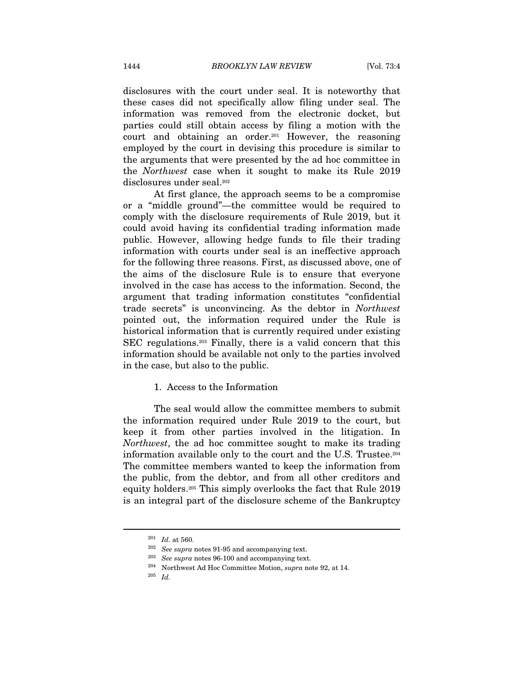disclosures with the court under seal. It is noteworthy that these cases did not specifically allow filing under seal. The information was removed from the electronic docket, but parties could still obtain access by filing a motion with the court and obtaining an order.201 However, the reasoning employed by the court in devising this procedure is similar to the arguments that were presented by the ad hoc committee in the Northwest case when it sought to make its Rule 2019 disclosures under seal.202

At first glance, the approach seems to be a compromise or a "middle ground"—the committee would be required to comply with the disclosure requirements of Rule 2019, but it could avoid having its confidential trading information made public. However, allowing hedge funds to file their trading information with courts under seal is an ineffective approach for the following three reasons. First, as discussed above, one of the aims of the disclosure Rule is to ensure that everyone involved in the case has access to the information. Second, the argument that trading information constitutes "confidential trade secrets" is unconvincing. As the debtor in Northwest pointed out, the information required under the Rule is historical information that is currently required under existing SEC regulations.203 Finally, there is a valid concern that this information should be available not only to the parties involved in the case, but also to the public.

#### 1. Access to the Information

The seal would allow the committee members to submit the information required under Rule 2019 to the court, but keep it from other parties involved in the litigation. In Northwest, the ad hoc committee sought to make its trading information available only to the court and the U.S. Trustee.204 The committee members wanted to keep the information from the public, from the debtor, and from all other creditors and equity holders.205 This simply overlooks the fact that Rule 2019 is an integral part of the disclosure scheme of the Bankruptcy

 $^{201}\;$   $Id.$  at 560.  $^{202}\;$  See supra notes 91-95 and accompanying text.

<sup>&</sup>lt;sup>203</sup>See supra notes 96-100 and accompanying text.<br><sup>204</sup> Northwest Ad Hoc Committee Motion, supra note 92, at 14.<br><sup>205</sup> Id.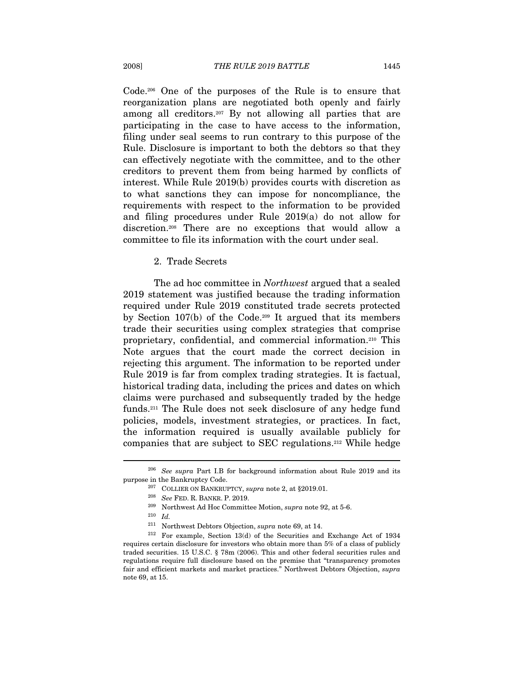Code.206 One of the purposes of the Rule is to ensure that reorganization plans are negotiated both openly and fairly among all creditors.207 By not allowing all parties that are participating in the case to have access to the information, filing under seal seems to run contrary to this purpose of the Rule. Disclosure is important to both the debtors so that they can effectively negotiate with the committee, and to the other creditors to prevent them from being harmed by conflicts of interest. While Rule 2019(b) provides courts with discretion as to what sanctions they can impose for noncompliance, the requirements with respect to the information to be provided and filing procedures under Rule 2019(a) do not allow for discretion.208 There are no exceptions that would allow a committee to file its information with the court under seal.

2. Trade Secrets

The ad hoc committee in Northwest argued that a sealed 2019 statement was justified because the trading information required under Rule 2019 constituted trade secrets protected by Section  $107(b)$  of the Code.<sup>209</sup> It argued that its members trade their securities using complex strategies that comprise proprietary, confidential, and commercial information.210 This Note argues that the court made the correct decision in rejecting this argument. The information to be reported under Rule 2019 is far from complex trading strategies. It is factual, historical trading data, including the prices and dates on which claims were purchased and subsequently traded by the hedge funds.211 The Rule does not seek disclosure of any hedge fund policies, models, investment strategies, or practices. In fact, the information required is usually available publicly for companies that are subject to SEC regulations.212 While hedge

<sup>&</sup>lt;sup>206</sup> See supra Part I.B for background information about Rule 2019 and its purpose in the Bankruptcy Code.<br>
<sup>207</sup> COLLIER ON BANKRUPTCY, *supra* note 2, at §2019.01.<br>
<sup>208</sup> See FED. R. BANKR. P. 2019.<br>
<sup>209</sup> Northwest Ad Hoc Committee Motion, *supra* note 92, at 5-6.<br>
<sup>210</sup> Id.<br>
<sup>211</sup> Northwest

 $212$  For example, Section 13(d) of the Securities and Exchange Act of 1934 requires certain disclosure for investors who obtain more than 5% of a class of publicly traded securities. 15 U.S.C. § 78m (2006). This and other federal securities rules and regulations require full disclosure based on the premise that "transparency promotes fair and efficient markets and market practices." Northwest Debtors Objection, supra note 69, at 15.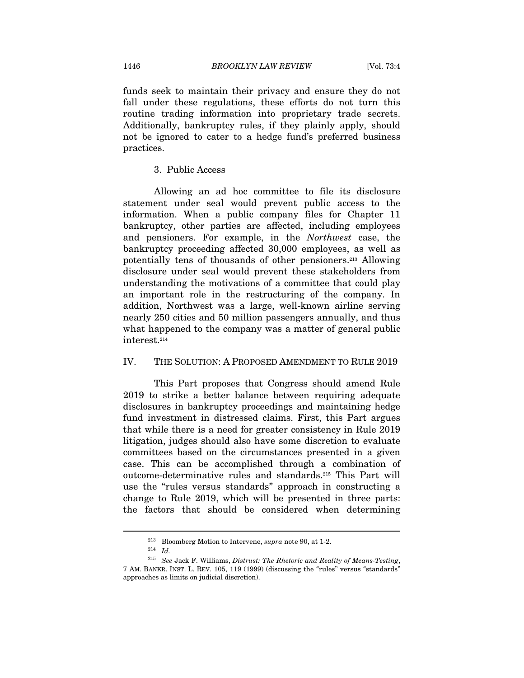funds seek to maintain their privacy and ensure they do not fall under these regulations, these efforts do not turn this routine trading information into proprietary trade secrets. Additionally, bankruptcy rules, if they plainly apply, should not be ignored to cater to a hedge fund's preferred business practices.

#### 3. Public Access

Allowing an ad hoc committee to file its disclosure statement under seal would prevent public access to the information. When a public company files for Chapter 11 bankruptcy, other parties are affected, including employees and pensioners. For example, in the Northwest case, the bankruptcy proceeding affected 30,000 employees, as well as potentially tens of thousands of other pensioners.213 Allowing disclosure under seal would prevent these stakeholders from understanding the motivations of a committee that could play an important role in the restructuring of the company. In addition, Northwest was a large, well-known airline serving nearly 250 cities and 50 million passengers annually, and thus what happened to the company was a matter of general public interest.214

### IV. THE SOLUTION: A PROPOSED AMENDMENT TO RULE 2019

This Part proposes that Congress should amend Rule 2019 to strike a better balance between requiring adequate disclosures in bankruptcy proceedings and maintaining hedge fund investment in distressed claims. First, this Part argues that while there is a need for greater consistency in Rule 2019 litigation, judges should also have some discretion to evaluate committees based on the circumstances presented in a given case. This can be accomplished through a combination of outcome-determinative rules and standards.215 This Part will use the "rules versus standards" approach in constructing a change to Rule 2019, which will be presented in three parts: the factors that should be considered when determining

 $^{213}$  Bloomberg Motion to Intervene,  $supra$  note 90, at 1-2.  $^{214}$   $\,$   $Id$ 

 $215$  See Jack F. Williams, Distrust: The Rhetoric and Reality of Means-Testing, 7 AM. BANKR. INST. L. REV. 105, 119 (1999) (discussing the "rules" versus "standards" approaches as limits on judicial discretion).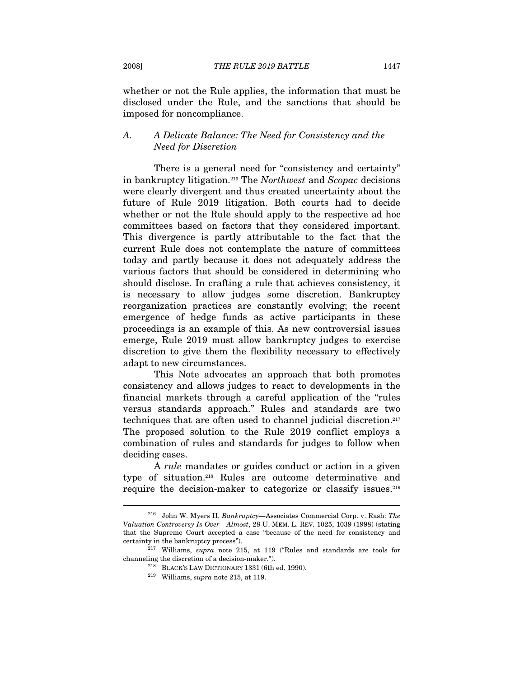whether or not the Rule applies, the information that must be disclosed under the Rule, and the sanctions that should be imposed for noncompliance.

# A. A Delicate Balance: The Need for Consistency and the Need for Discretion

There is a general need for "consistency and certainty" in bankruptcy litigation.216 The Northwest and Scopac decisions were clearly divergent and thus created uncertainty about the future of Rule 2019 litigation. Both courts had to decide whether or not the Rule should apply to the respective ad hoc committees based on factors that they considered important. This divergence is partly attributable to the fact that the current Rule does not contemplate the nature of committees today and partly because it does not adequately address the various factors that should be considered in determining who should disclose. In crafting a rule that achieves consistency, it is necessary to allow judges some discretion. Bankruptcy reorganization practices are constantly evolving; the recent emergence of hedge funds as active participants in these proceedings is an example of this. As new controversial issues emerge, Rule 2019 must allow bankruptcy judges to exercise discretion to give them the flexibility necessary to effectively adapt to new circumstances.

This Note advocates an approach that both promotes consistency and allows judges to react to developments in the financial markets through a careful application of the "rules versus standards approach." Rules and standards are two techniques that are often used to channel judicial discretion.217 The proposed solution to the Rule 2019 conflict employs a combination of rules and standards for judges to follow when deciding cases.

A rule mandates or guides conduct or action in a given type of situation.218 Rules are outcome determinative and require the decision-maker to categorize or classify issues.219

<sup>216</sup> John W. Myers II, Bankruptcy—Associates Commercial Corp. v. Rash: The Valuation Controversy Is Over—Almost, 28 U. MEM. L. REV. 1025, 1039 (1998) (stating that the Supreme Court accepted a case "because of the need for consistency and certainty in the bankruptcy process").  $^{217}$  Williams, *supra* note 215, at 119 ("Rules and standards are tools for

channeling the discretion of a decision-maker.").<br><sup>218</sup> BLACK'S LAW DICTIONARY 1331 (6th ed. 1990).<br><sup>219</sup> Williams, *supra* note 215, at 119.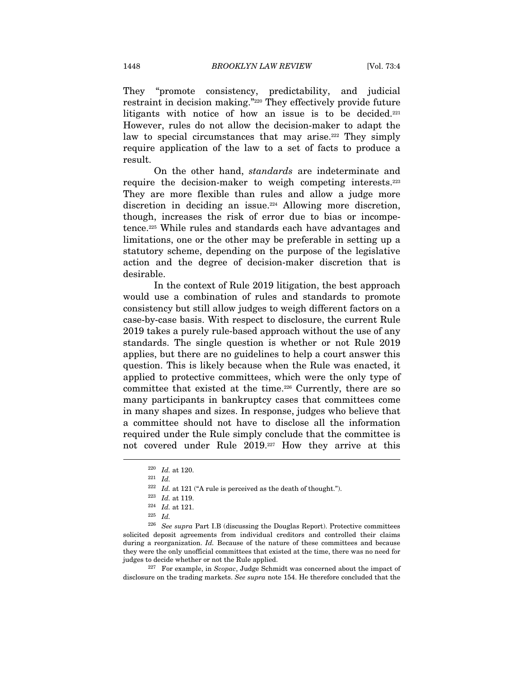They "promote consistency, predictability, and judicial restraint in decision making."220 They effectively provide future litigants with notice of how an issue is to be decided.<sup>221</sup> However, rules do not allow the decision-maker to adapt the law to special circumstances that may arise.<sup>222</sup> They simply require application of the law to a set of facts to produce a result.

On the other hand, standards are indeterminate and require the decision-maker to weigh competing interests.223 They are more flexible than rules and allow a judge more discretion in deciding an issue.<sup>224</sup> Allowing more discretion, though, increases the risk of error due to bias or incompetence.225 While rules and standards each have advantages and limitations, one or the other may be preferable in setting up a statutory scheme, depending on the purpose of the legislative action and the degree of decision-maker discretion that is desirable.

In the context of Rule 2019 litigation, the best approach would use a combination of rules and standards to promote consistency but still allow judges to weigh different factors on a case-by-case basis. With respect to disclosure, the current Rule 2019 takes a purely rule-based approach without the use of any standards. The single question is whether or not Rule 2019 applies, but there are no guidelines to help a court answer this question. This is likely because when the Rule was enacted, it applied to protective committees, which were the only type of committee that existed at the time.<sup>226</sup> Currently, there are so many participants in bankruptcy cases that committees come in many shapes and sizes. In response, judges who believe that a committee should not have to disclose all the information required under the Rule simply conclude that the committee is not covered under Rule 2019.227 How they arrive at this

disclosure on the trading markets. See supra note 154. He therefore concluded that the

 $220$  *Id.* at 120.

<sup>221</sup> Id.

<sup>&</sup>lt;sup>222</sup> Id. at 121 ("A rule is perceived as the death of thought.").<br><sup>223</sup> Id. at 119.<br><sup>224</sup> Id. at 121.<br><sup>225</sup> Id.

 $226$  See supra Part I.B (discussing the Douglas Report). Protective committees solicited deposit agreements from individual creditors and controlled their claims during a reorganization. Id. Because of the nature of these committees and because they were the only unofficial committees that existed at the time, there was no need for judges to decide whether or not the Rule applied.<br><sup>227</sup> For example, in Scopac, Judge Schmidt was concerned about the impact of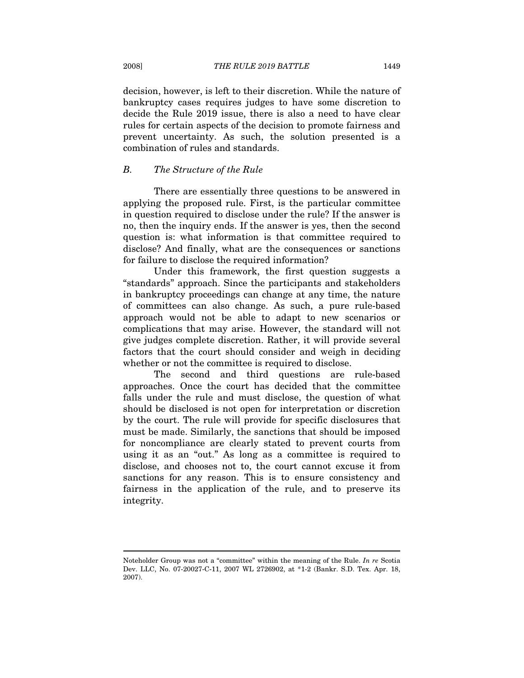decision, however, is left to their discretion. While the nature of bankruptcy cases requires judges to have some discretion to decide the Rule 2019 issue, there is also a need to have clear rules for certain aspects of the decision to promote fairness and prevent uncertainty. As such, the solution presented is a combination of rules and standards.

# B. The Structure of the Rule

There are essentially three questions to be answered in applying the proposed rule. First, is the particular committee in question required to disclose under the rule? If the answer is no, then the inquiry ends. If the answer is yes, then the second question is: what information is that committee required to disclose? And finally, what are the consequences or sanctions for failure to disclose the required information?

Under this framework, the first question suggests a "standards" approach. Since the participants and stakeholders in bankruptcy proceedings can change at any time, the nature of committees can also change. As such, a pure rule-based approach would not be able to adapt to new scenarios or complications that may arise. However, the standard will not give judges complete discretion. Rather, it will provide several factors that the court should consider and weigh in deciding whether or not the committee is required to disclose.

The second and third questions are rule-based approaches. Once the court has decided that the committee falls under the rule and must disclose, the question of what should be disclosed is not open for interpretation or discretion by the court. The rule will provide for specific disclosures that must be made. Similarly, the sanctions that should be imposed for noncompliance are clearly stated to prevent courts from using it as an "out." As long as a committee is required to disclose, and chooses not to, the court cannot excuse it from sanctions for any reason. This is to ensure consistency and fairness in the application of the rule, and to preserve its integrity.

Noteholder Group was not a "committee" within the meaning of the Rule. In re Scotia Dev. LLC, No. 07-20027-C-11, 2007 WL 2726902, at \*1-2 (Bankr. S.D. Tex. Apr. 18, 2007).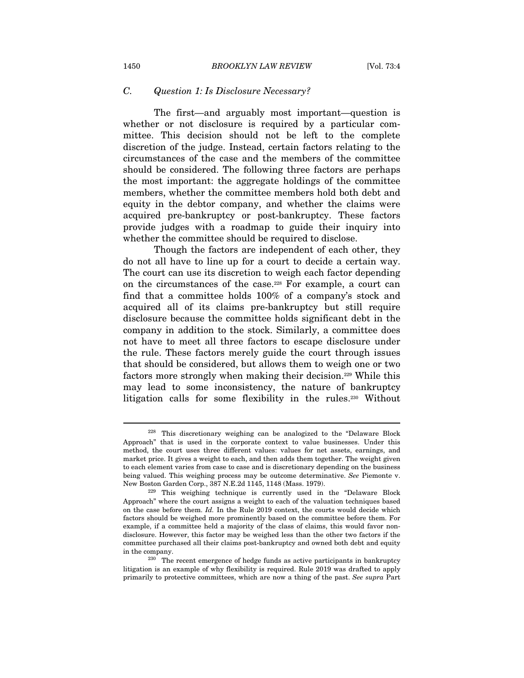# C. Question 1: Is Disclosure Necessary?

The first—and arguably most important—question is whether or not disclosure is required by a particular committee. This decision should not be left to the complete discretion of the judge. Instead, certain factors relating to the circumstances of the case and the members of the committee should be considered. The following three factors are perhaps the most important: the aggregate holdings of the committee members, whether the committee members hold both debt and equity in the debtor company, and whether the claims were acquired pre-bankruptcy or post-bankruptcy. These factors provide judges with a roadmap to guide their inquiry into whether the committee should be required to disclose.

Though the factors are independent of each other, they do not all have to line up for a court to decide a certain way. The court can use its discretion to weigh each factor depending on the circumstances of the case.228 For example, a court can find that a committee holds 100% of a company's stock and acquired all of its claims pre-bankruptcy but still require disclosure because the committee holds significant debt in the company in addition to the stock. Similarly, a committee does not have to meet all three factors to escape disclosure under the rule. These factors merely guide the court through issues that should be considered, but allows them to weigh one or two factors more strongly when making their decision.229 While this may lead to some inconsistency, the nature of bankruptcy litigation calls for some flexibility in the rules.230 Without

<sup>228</sup> This discretionary weighing can be analogized to the "Delaware Block Approach" that is used in the corporate context to value businesses. Under this method, the court uses three different values: values for net assets, earnings, and market price. It gives a weight to each, and then adds them together. The weight given to each element varies from case to case and is discretionary depending on the business being valued. This weighing process may be outcome determinative. See Piemonte v. New Boston Garden Corp., 387 N.E.2d 1145, 1148 (Mass. 1979).<br><sup>229</sup> This weighing technique is currently used in the "Delaware Block

Approach" where the court assigns a weight to each of the valuation techniques based on the case before them. Id. In the Rule 2019 context, the courts would decide which factors should be weighed more prominently based on the committee before them. For example, if a committee held a majority of the class of claims, this would favor nondisclosure. However, this factor may be weighed less than the other two factors if the committee purchased all their claims post-bankruptcy and owned both debt and equity in the company.<br><sup>230</sup> The recent emergence of hedge funds as active participants in bankruptcy

litigation is an example of why flexibility is required. Rule 2019 was drafted to apply primarily to protective committees, which are now a thing of the past. See supra Part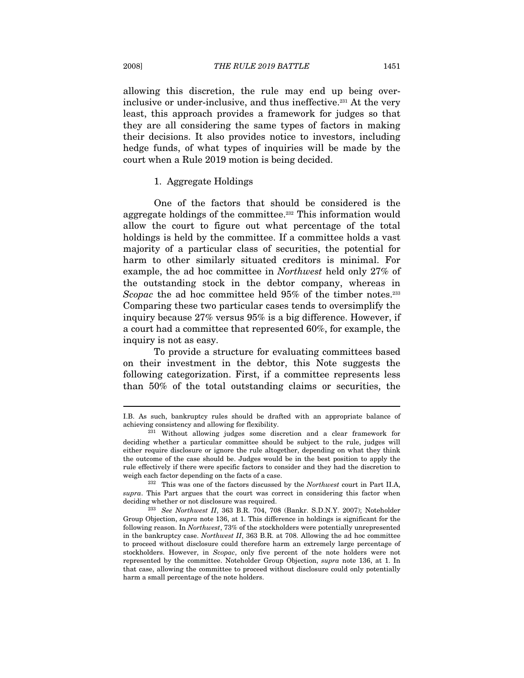allowing this discretion, the rule may end up being overinclusive or under-inclusive, and thus ineffective.<sup>231</sup> At the very least, this approach provides a framework for judges so that they are all considering the same types of factors in making their decisions. It also provides notice to investors, including hedge funds, of what types of inquiries will be made by the court when a Rule 2019 motion is being decided.

#### 1. Aggregate Holdings

One of the factors that should be considered is the aggregate holdings of the committee.<sup>232</sup> This information would allow the court to figure out what percentage of the total holdings is held by the committee. If a committee holds a vast majority of a particular class of securities, the potential for harm to other similarly situated creditors is minimal. For example, the ad hoc committee in Northwest held only 27% of the outstanding stock in the debtor company, whereas in Scopac the ad hoc committee held 95% of the timber notes.<sup>233</sup> Comparing these two particular cases tends to oversimplify the inquiry because 27% versus 95% is a big difference. However, if a court had a committee that represented 60%, for example, the inquiry is not as easy.

To provide a structure for evaluating committees based on their investment in the debtor, this Note suggests the following categorization. First, if a committee represents less than 50% of the total outstanding claims or securities, the

I.B. As such, bankruptcy rules should be drafted with an appropriate balance of

achieving consistency and allowing for flexibility. 231 Without allowing judges some discretion and a clear framework for deciding whether a particular committee should be subject to the rule, judges will either require disclosure or ignore the rule altogether, depending on what they think the outcome of the case should be. Judges would be in the best position to apply the rule effectively if there were specific factors to consider and they had the discretion to weigh each factor depending on the facts of a case.<br><sup>232</sup> This was one of the factors discussed by the *Northwest* court in Part II.A,

supra. This Part argues that the court was correct in considering this factor when

deciding whether or not disclosure was required.<br><sup>233</sup> See Northwest II, 363 B.R. 704, 708 (Bankr. S.D.N.Y. 2007); Noteholder Group Objection, supra note 136, at 1. This difference in holdings is significant for the following reason. In Northwest, 73% of the stockholders were potentially unrepresented in the bankruptcy case. Northwest  $II$ , 363 B.R. at 708. Allowing the ad hoc committee to proceed without disclosure could therefore harm an extremely large percentage of stockholders. However, in Scopac, only five percent of the note holders were not represented by the committee. Noteholder Group Objection, supra note 136, at 1. In that case, allowing the committee to proceed without disclosure could only potentially harm a small percentage of the note holders.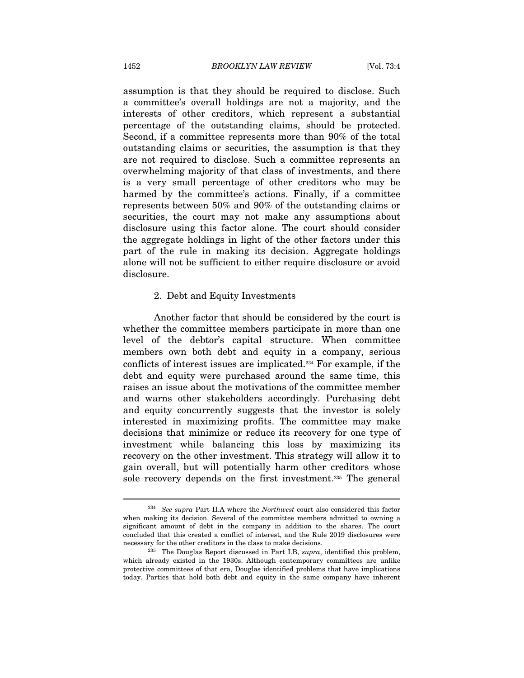assumption is that they should be required to disclose. Such a committee's overall holdings are not a majority, and the interests of other creditors, which represent a substantial percentage of the outstanding claims, should be protected. Second, if a committee represents more than 90% of the total outstanding claims or securities, the assumption is that they are not required to disclose. Such a committee represents an overwhelming majority of that class of investments, and there is a very small percentage of other creditors who may be harmed by the committee's actions. Finally, if a committee represents between 50% and 90% of the outstanding claims or securities, the court may not make any assumptions about disclosure using this factor alone. The court should consider the aggregate holdings in light of the other factors under this part of the rule in making its decision. Aggregate holdings alone will not be sufficient to either require disclosure or avoid disclosure.

#### 2. Debt and Equity Investments

Another factor that should be considered by the court is whether the committee members participate in more than one level of the debtor's capital structure. When committee members own both debt and equity in a company, serious conflicts of interest issues are implicated.234 For example, if the debt and equity were purchased around the same time, this raises an issue about the motivations of the committee member and warns other stakeholders accordingly. Purchasing debt and equity concurrently suggests that the investor is solely interested in maximizing profits. The committee may make decisions that minimize or reduce its recovery for one type of investment while balancing this loss by maximizing its recovery on the other investment. This strategy will allow it to gain overall, but will potentially harm other creditors whose sole recovery depends on the first investment.235 The general

 $234$  See supra Part II.A where the Northwest court also considered this factor when making its decision. Several of the committee members admitted to owning a significant amount of debt in the company in addition to the shares. The court concluded that this created a conflict of interest, and the Rule 2019 disclosures were necessary for the other creditors in the class to make decisions.<br><sup>235</sup> The Douglas Report discussed in Part I.B, *supra*, identified this problem,

which already existed in the 1930s. Although contemporary committees are unlike protective committees of that era, Douglas identified problems that have implications today. Parties that hold both debt and equity in the same company have inherent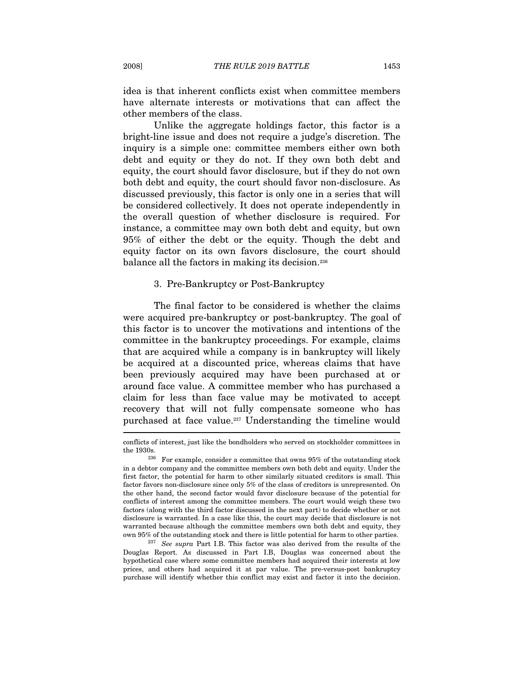idea is that inherent conflicts exist when committee members have alternate interests or motivations that can affect the other members of the class.

Unlike the aggregate holdings factor, this factor is a bright-line issue and does not require a judge's discretion. The inquiry is a simple one: committee members either own both debt and equity or they do not. If they own both debt and equity, the court should favor disclosure, but if they do not own both debt and equity, the court should favor non-disclosure. As discussed previously, this factor is only one in a series that will be considered collectively. It does not operate independently in the overall question of whether disclosure is required. For instance, a committee may own both debt and equity, but own 95% of either the debt or the equity. Though the debt and equity factor on its own favors disclosure, the court should balance all the factors in making its decision.236

#### 3. Pre-Bankruptcy or Post-Bankruptcy

The final factor to be considered is whether the claims were acquired pre-bankruptcy or post-bankruptcy. The goal of this factor is to uncover the motivations and intentions of the committee in the bankruptcy proceedings. For example, claims that are acquired while a company is in bankruptcy will likely be acquired at a discounted price, whereas claims that have been previously acquired may have been purchased at or around face value. A committee member who has purchased a claim for less than face value may be motivated to accept recovery that will not fully compensate someone who has purchased at face value.237 Understanding the timeline would

conflicts of interest, just like the bondholders who served on stockholder committees in

the 1930s.  $^{236}$  For example, consider a committee that owns 95% of the outstanding stock in a debtor company and the committee members own both debt and equity. Under the first factor, the potential for harm to other similarly situated creditors is small. This factor favors non-disclosure since only 5% of the class of creditors is unrepresented. On the other hand, the second factor would favor disclosure because of the potential for conflicts of interest among the committee members. The court would weigh these two factors (along with the third factor discussed in the next part) to decide whether or not disclosure is warranted. In a case like this, the court may decide that disclosure is not warranted because although the committee members own both debt and equity, they

own 95% of the outstanding stock and there is little potential for harm to other parties. 237 See supra Part I.B. This factor was also derived from the results of the Douglas Report. As discussed in Part I.B, Douglas was concerned about the hypothetical case where some committee members had acquired their interests at low prices, and others had acquired it at par value. The pre-versus-post bankruptcy purchase will identify whether this conflict may exist and factor it into the decision.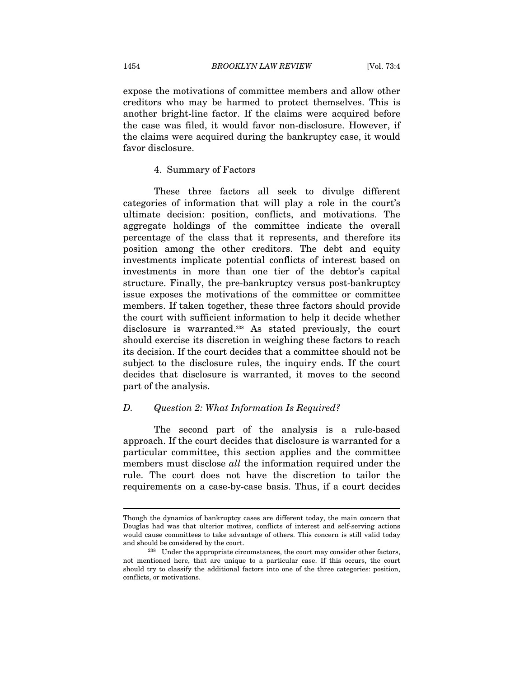expose the motivations of committee members and allow other creditors who may be harmed to protect themselves. This is another bright-line factor. If the claims were acquired before the case was filed, it would favor non-disclosure. However, if the claims were acquired during the bankruptcy case, it would favor disclosure.

#### 4. Summary of Factors

These three factors all seek to divulge different categories of information that will play a role in the court's ultimate decision: position, conflicts, and motivations. The aggregate holdings of the committee indicate the overall percentage of the class that it represents, and therefore its position among the other creditors. The debt and equity investments implicate potential conflicts of interest based on investments in more than one tier of the debtor's capital structure. Finally, the pre-bankruptcy versus post-bankruptcy issue exposes the motivations of the committee or committee members. If taken together, these three factors should provide the court with sufficient information to help it decide whether disclosure is warranted.<sup>238</sup> As stated previously, the court should exercise its discretion in weighing these factors to reach its decision. If the court decides that a committee should not be subject to the disclosure rules, the inquiry ends. If the court decides that disclosure is warranted, it moves to the second part of the analysis.

#### D. Question 2: What Information Is Required?

The second part of the analysis is a rule-based approach. If the court decides that disclosure is warranted for a particular committee, this section applies and the committee members must disclose all the information required under the rule. The court does not have the discretion to tailor the requirements on a case-by-case basis. Thus, if a court decides

Though the dynamics of bankruptcy cases are different today, the main concern that Douglas had was that ulterior motives, conflicts of interest and self-serving actions would cause committees to take advantage of others. This concern is still valid today and should be considered by the court.<br><sup>238</sup> Under the appropriate circumstances, the court may consider other factors,

not mentioned here, that are unique to a particular case. If this occurs, the court should try to classify the additional factors into one of the three categories: position, conflicts, or motivations.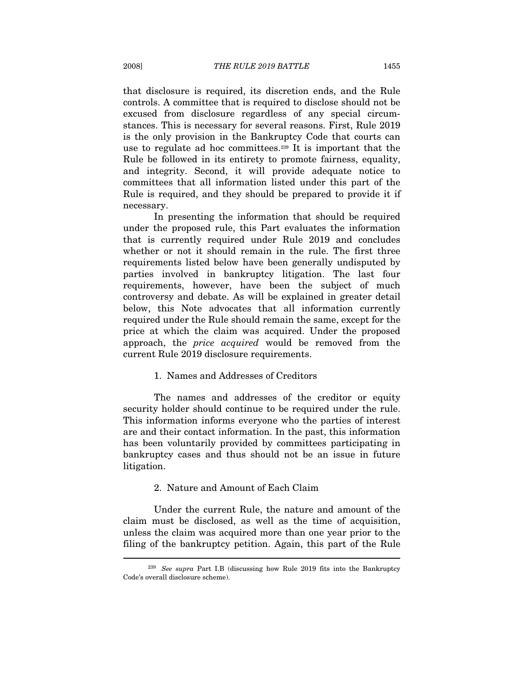that disclosure is required, its discretion ends, and the Rule controls. A committee that is required to disclose should not be excused from disclosure regardless of any special circumstances. This is necessary for several reasons. First, Rule 2019 is the only provision in the Bankruptcy Code that courts can use to regulate ad hoc committees.239 It is important that the Rule be followed in its entirety to promote fairness, equality, and integrity. Second, it will provide adequate notice to committees that all information listed under this part of the Rule is required, and they should be prepared to provide it if necessary.

In presenting the information that should be required under the proposed rule, this Part evaluates the information that is currently required under Rule 2019 and concludes whether or not it should remain in the rule. The first three requirements listed below have been generally undisputed by parties involved in bankruptcy litigation. The last four requirements, however, have been the subject of much controversy and debate. As will be explained in greater detail below, this Note advocates that all information currently required under the Rule should remain the same, except for the price at which the claim was acquired. Under the proposed approach, the price acquired would be removed from the current Rule 2019 disclosure requirements.

1. Names and Addresses of Creditors

The names and addresses of the creditor or equity security holder should continue to be required under the rule. This information informs everyone who the parties of interest are and their contact information. In the past, this information has been voluntarily provided by committees participating in bankruptcy cases and thus should not be an issue in future litigation.

2. Nature and Amount of Each Claim

Under the current Rule, the nature and amount of the claim must be disclosed, as well as the time of acquisition, unless the claim was acquired more than one year prior to the filing of the bankruptcy petition. Again, this part of the Rule  $\overline{a}$ 

<sup>&</sup>lt;sup>239</sup> See supra Part I.B (discussing how Rule 2019 fits into the Bankruptcy Code's overall disclosure scheme).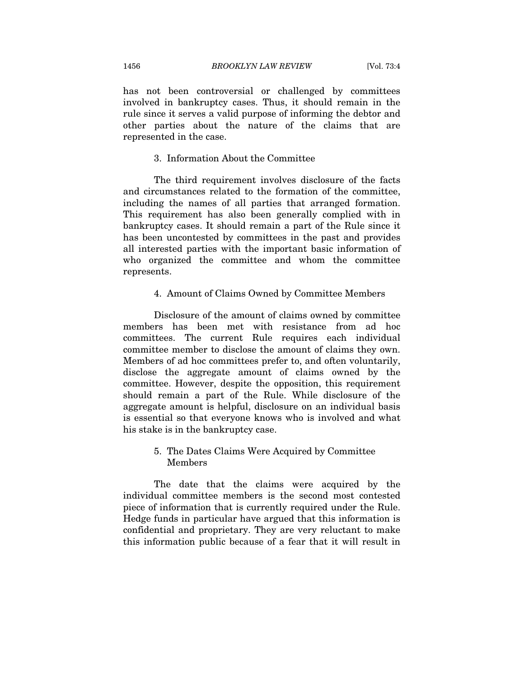has not been controversial or challenged by committees involved in bankruptcy cases. Thus, it should remain in the rule since it serves a valid purpose of informing the debtor and other parties about the nature of the claims that are represented in the case.

#### 3. Information About the Committee

The third requirement involves disclosure of the facts and circumstances related to the formation of the committee, including the names of all parties that arranged formation. This requirement has also been generally complied with in bankruptcy cases. It should remain a part of the Rule since it has been uncontested by committees in the past and provides all interested parties with the important basic information of who organized the committee and whom the committee represents.

#### 4. Amount of Claims Owned by Committee Members

Disclosure of the amount of claims owned by committee members has been met with resistance from ad hoc committees. The current Rule requires each individual committee member to disclose the amount of claims they own. Members of ad hoc committees prefer to, and often voluntarily, disclose the aggregate amount of claims owned by the committee. However, despite the opposition, this requirement should remain a part of the Rule. While disclosure of the aggregate amount is helpful, disclosure on an individual basis is essential so that everyone knows who is involved and what his stake is in the bankruptcy case.

# 5. The Dates Claims Were Acquired by Committee Members

The date that the claims were acquired by the individual committee members is the second most contested piece of information that is currently required under the Rule. Hedge funds in particular have argued that this information is confidential and proprietary. They are very reluctant to make this information public because of a fear that it will result in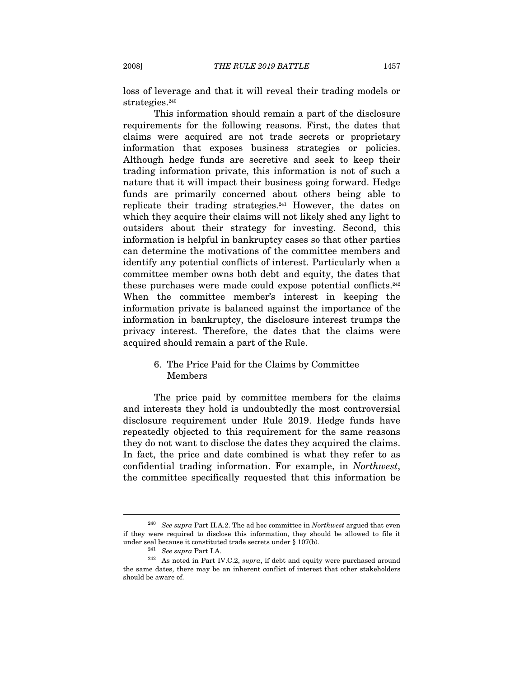loss of leverage and that it will reveal their trading models or strategies.<sup>240</sup>

This information should remain a part of the disclosure requirements for the following reasons. First, the dates that claims were acquired are not trade secrets or proprietary information that exposes business strategies or policies. Although hedge funds are secretive and seek to keep their trading information private, this information is not of such a nature that it will impact their business going forward. Hedge funds are primarily concerned about others being able to replicate their trading strategies.<sup>241</sup> However, the dates on which they acquire their claims will not likely shed any light to outsiders about their strategy for investing. Second, this information is helpful in bankruptcy cases so that other parties can determine the motivations of the committee members and identify any potential conflicts of interest. Particularly when a committee member owns both debt and equity, the dates that these purchases were made could expose potential conflicts.242 When the committee member's interest in keeping the information private is balanced against the importance of the information in bankruptcy, the disclosure interest trumps the privacy interest. Therefore, the dates that the claims were acquired should remain a part of the Rule.

# 6. The Price Paid for the Claims by Committee Members

The price paid by committee members for the claims and interests they hold is undoubtedly the most controversial disclosure requirement under Rule 2019. Hedge funds have repeatedly objected to this requirement for the same reasons they do not want to disclose the dates they acquired the claims. In fact, the price and date combined is what they refer to as confidential trading information. For example, in Northwest, the committee specifically requested that this information be

 $240$  See supra Part II.A.2. The ad hoc committee in Northwest argued that even if they were required to disclose this information, they should be allowed to file it

under seal because it constituted trade secrets under § 107(b).<br><sup>241</sup> See supra Part I.A. <sup>242</sup> As noted in Part IV.C.2, supra, if debt and equity were purchased around the same dates, there may be an inherent conflict of interest that other stakeholders should be aware of.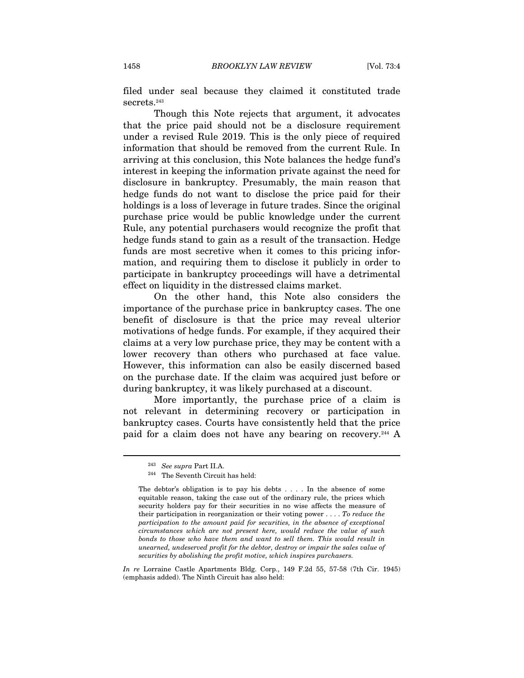filed under seal because they claimed it constituted trade secrets.243

Though this Note rejects that argument, it advocates that the price paid should not be a disclosure requirement under a revised Rule 2019. This is the only piece of required information that should be removed from the current Rule. In arriving at this conclusion, this Note balances the hedge fund's interest in keeping the information private against the need for disclosure in bankruptcy. Presumably, the main reason that hedge funds do not want to disclose the price paid for their holdings is a loss of leverage in future trades. Since the original purchase price would be public knowledge under the current Rule, any potential purchasers would recognize the profit that hedge funds stand to gain as a result of the transaction. Hedge funds are most secretive when it comes to this pricing information, and requiring them to disclose it publicly in order to participate in bankruptcy proceedings will have a detrimental effect on liquidity in the distressed claims market.

On the other hand, this Note also considers the importance of the purchase price in bankruptcy cases. The one benefit of disclosure is that the price may reveal ulterior motivations of hedge funds. For example, if they acquired their claims at a very low purchase price, they may be content with a lower recovery than others who purchased at face value. However, this information can also be easily discerned based on the purchase date. If the claim was acquired just before or during bankruptcy, it was likely purchased at a discount.

More importantly, the purchase price of a claim is not relevant in determining recovery or participation in bankruptcy cases. Courts have consistently held that the price paid for a claim does not have any bearing on recovery.244 A

<sup>&</sup>lt;sup>243</sup> See supra Part II.A.<br><sup>244</sup> The Seventh Circuit has held:

The debtor's obligation is to pay his debts . . . . In the absence of some equitable reason, taking the case out of the ordinary rule, the prices which security holders pay for their securities in no wise affects the measure of their participation in reorganization or their voting power  $\dots$ . To reduce the participation to the amount paid for securities, in the absence of exceptional circumstances which are not present here, would reduce the value of such bonds to those who have them and want to sell them. This would result in unearned, undeserved profit for the debtor, destroy or impair the sales value of securities by abolishing the profit motive, which inspires purchasers.

In re Lorraine Castle Apartments Bldg. Corp., 149 F.2d 55, 57-58 (7th Cir. 1945) (emphasis added). The Ninth Circuit has also held: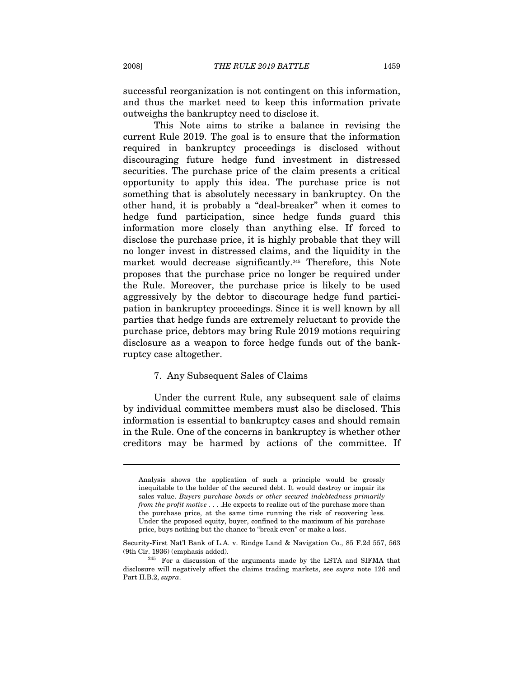successful reorganization is not contingent on this information, and thus the market need to keep this information private outweighs the bankruptcy need to disclose it.

This Note aims to strike a balance in revising the current Rule 2019. The goal is to ensure that the information required in bankruptcy proceedings is disclosed without discouraging future hedge fund investment in distressed securities. The purchase price of the claim presents a critical opportunity to apply this idea. The purchase price is not something that is absolutely necessary in bankruptcy. On the other hand, it is probably a "deal-breaker" when it comes to hedge fund participation, since hedge funds guard this information more closely than anything else. If forced to disclose the purchase price, it is highly probable that they will no longer invest in distressed claims, and the liquidity in the market would decrease significantly.<sup>245</sup> Therefore, this Note proposes that the purchase price no longer be required under the Rule. Moreover, the purchase price is likely to be used aggressively by the debtor to discourage hedge fund participation in bankruptcy proceedings. Since it is well known by all parties that hedge funds are extremely reluctant to provide the purchase price, debtors may bring Rule 2019 motions requiring disclosure as a weapon to force hedge funds out of the bankruptcy case altogether.

#### 7. Any Subsequent Sales of Claims

Under the current Rule, any subsequent sale of claims by individual committee members must also be disclosed. This information is essential to bankruptcy cases and should remain in the Rule. One of the concerns in bankruptcy is whether other creditors may be harmed by actions of the committee. If

Analysis shows the application of such a principle would be grossly inequitable to the holder of the secured debt. It would destroy or impair its sales value. Buyers purchase bonds or other secured indebtedness primarily from the profit motive . . . .He expects to realize out of the purchase more than the purchase price, at the same time running the risk of recovering less. Under the proposed equity, buyer, confined to the maximum of his purchase price, buys nothing but the chance to "break even" or make a loss.

Security-First Nat'l Bank of L.A. v. Rindge Land & Navigation Co., 85 F.2d 557, 563 (9th Cir. 1936) (emphasis added).  $^{245}$  For a discussion of the arguments made by the LSTA and SIFMA that

disclosure will negatively affect the claims trading markets, see supra note 126 and Part II.B.2, supra.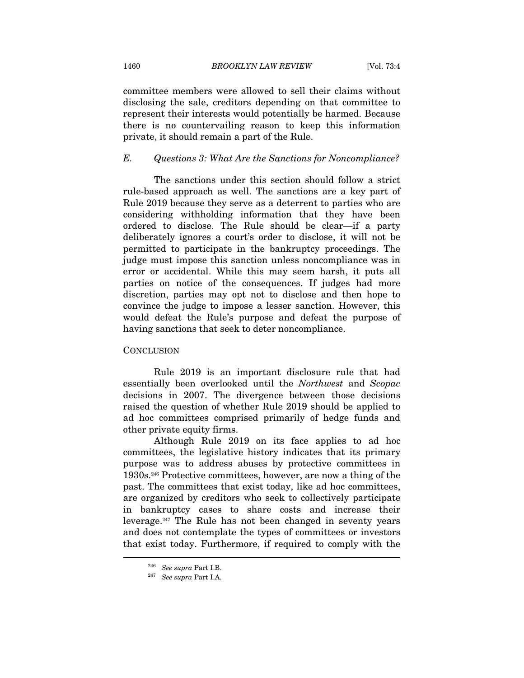committee members were allowed to sell their claims without disclosing the sale, creditors depending on that committee to represent their interests would potentially be harmed. Because there is no countervailing reason to keep this information private, it should remain a part of the Rule.

#### E. Questions 3: What Are the Sanctions for Noncompliance?

The sanctions under this section should follow a strict rule-based approach as well. The sanctions are a key part of Rule 2019 because they serve as a deterrent to parties who are considering withholding information that they have been ordered to disclose. The Rule should be clear—if a party deliberately ignores a court's order to disclose, it will not be permitted to participate in the bankruptcy proceedings. The judge must impose this sanction unless noncompliance was in error or accidental. While this may seem harsh, it puts all parties on notice of the consequences. If judges had more discretion, parties may opt not to disclose and then hope to convince the judge to impose a lesser sanction. However, this would defeat the Rule's purpose and defeat the purpose of having sanctions that seek to deter noncompliance.

#### **CONCLUSION**

Rule 2019 is an important disclosure rule that had essentially been overlooked until the Northwest and Scopac decisions in 2007. The divergence between those decisions raised the question of whether Rule 2019 should be applied to ad hoc committees comprised primarily of hedge funds and other private equity firms.

Although Rule 2019 on its face applies to ad hoc committees, the legislative history indicates that its primary purpose was to address abuses by protective committees in 1930s.246 Protective committees, however, are now a thing of the past. The committees that exist today, like ad hoc committees, are organized by creditors who seek to collectively participate in bankruptcy cases to share costs and increase their leverage.247 The Rule has not been changed in seventy years and does not contemplate the types of committees or investors that exist today. Furthermore, if required to comply with the  $\overline{a}$ 

<sup>&</sup>lt;sup>246</sup> See supra Part I.B.<br><sup>247</sup> See supra Part I.A.